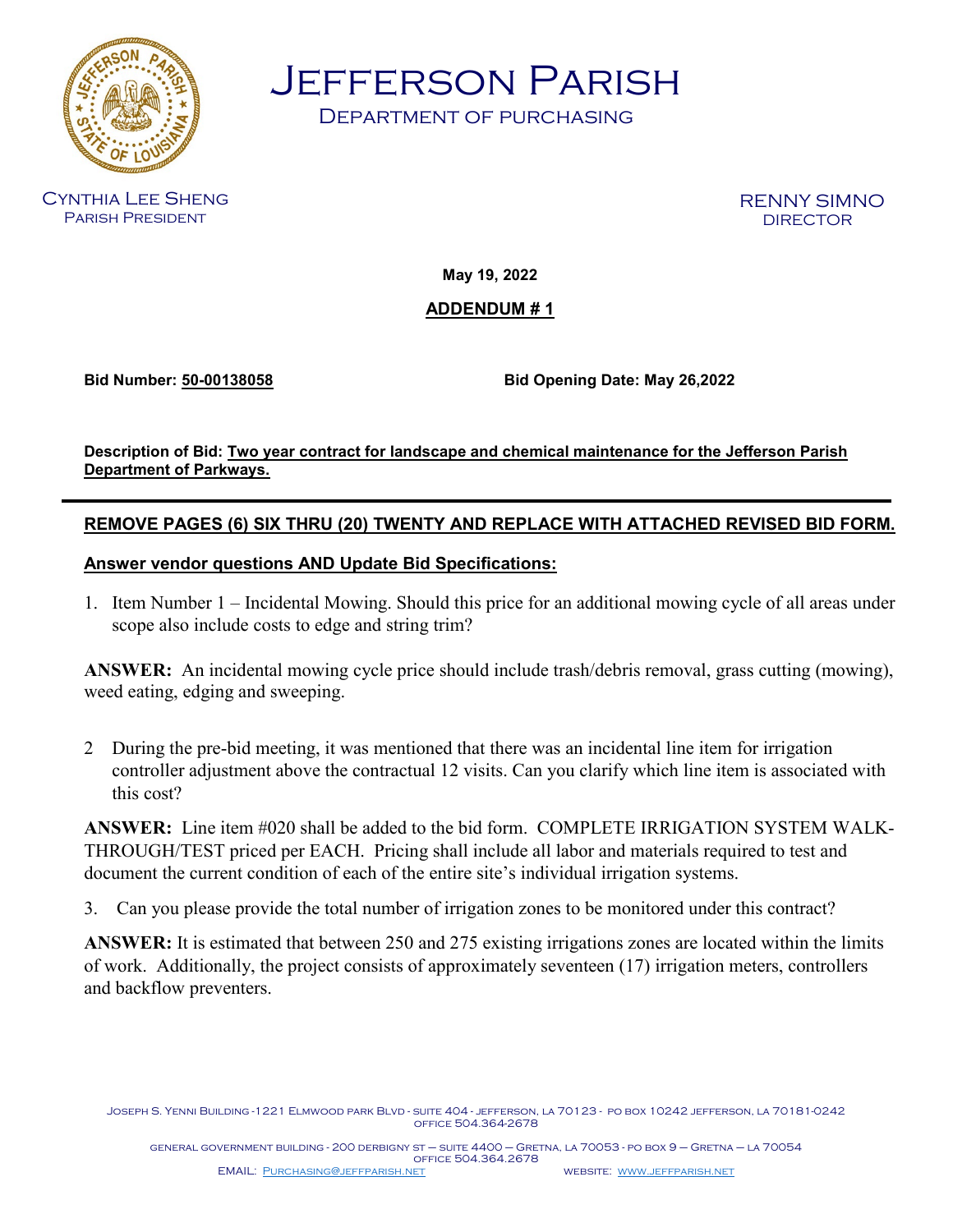

Jefferson Parish

Department of purchasing

Cynthia Lee Sheng Parish President

RENNY SIMNO DIRECTOR

**May 19, 2022** 

# **ADDENDUM # 1**

**Bid Number: 50-00138058 Bid Opening Date: May 26,2022**

**Description of Bid: Two year contract for landscape and chemical maintenance for the Jefferson Parish Department of Parkways.**

# **REMOVE PAGES (6) SIX THRU (20) TWENTY AND REPLACE WITH ATTACHED REVISED BID FORM.**

# **Answer vendor questions AND Update Bid Specifications:**

1. Item Number 1 – Incidental Mowing. Should this price for an additional mowing cycle of all areas under scope also include costs to edge and string trim?

 **ANSWER:** An incidental mowing cycle price should include trash/debris removal, grass cutting (mowing), weed eating, edging and sweeping.

2 During the pre-bid meeting, it was mentioned that there was an incidental line item for irrigation controller adjustment above the contractual 12 visits. Can you clarify which line item is associated with this cost?

**ANSWER:** Line item #020 shall be added to the bid form. COMPLETE IRRIGATION SYSTEM WALK-THROUGH/TEST priced per EACH. Pricing shall include all labor and materials required to test and document the current condition of each of the entire site's individual irrigation systems.

3. Can you please provide the total number of irrigation zones to be monitored under this contract?

**ANSWER:** It is estimated that between 250 and 275 existing irrigations zones are located within the limits of work. Additionally, the project consists of approximately seventeen (17) irrigation meters, controllers and backflow preventers.

Joseph S. Yenni Building -1221 Elmwood park Blvd - suite 404 - jefferson, la 70123 - po box 10242 jefferson, la 70181-0242 office 504.364-2678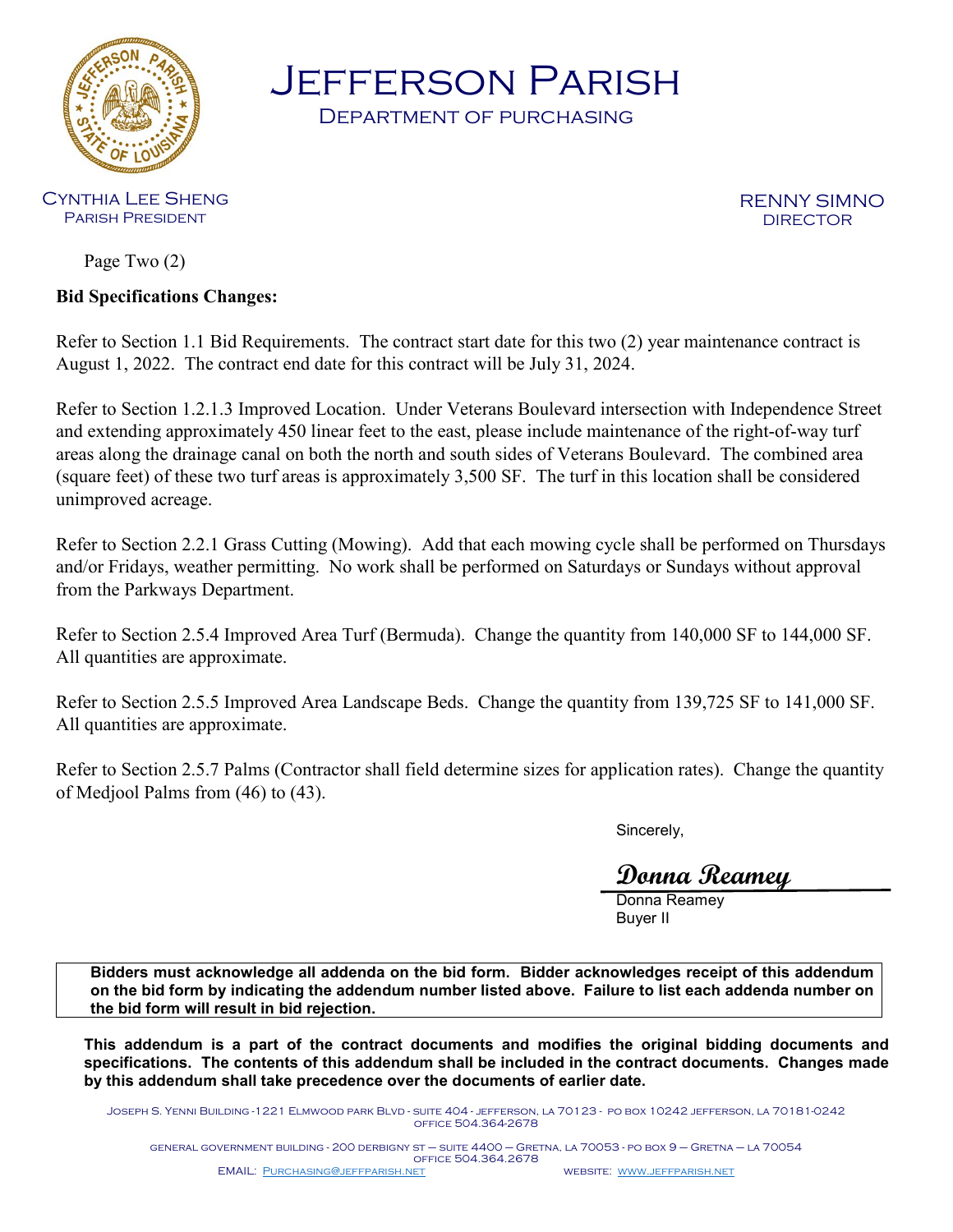

Jefferson Parish

Department of purchasing

Cynthia Lee Sheng Parish President

RENNY SIMNO DIRECTOR

Page Two (2)

**Bid Specifications Changes:**

Refer to Section 1.1 Bid Requirements. The contract start date for this two (2) year maintenance contract is August 1, 2022. The contract end date for this contract will be July 31, 2024.

Refer to Section 1.2.1.3 Improved Location. Under Veterans Boulevard intersection with Independence Street and extending approximately 450 linear feet to the east, please include maintenance of the right-of-way turf areas along the drainage canal on both the north and south sides of Veterans Boulevard. The combined area (square feet) of these two turf areas is approximately 3,500 SF. The turf in this location shall be considered unimproved acreage.

Refer to Section 2.2.1 Grass Cutting (Mowing). Add that each mowing cycle shall be performed on Thursdays and/or Fridays, weather permitting. No work shall be performed on Saturdays or Sundays without approval from the Parkways Department.

Refer to Section 2.5.4 Improved Area Turf (Bermuda). Change the quantity from 140,000 SF to 144,000 SF. All quantities are approximate.

Refer to Section 2.5.5 Improved Area Landscape Beds. Change the quantity from 139,725 SF to 141,000 SF. All quantities are approximate.

Refer to Section 2.5.7 Palms (Contractor shall field determine sizes for application rates). Change the quantity of Medjool Palms from (46) to (43).

Sincerely,

**Donna Reamey**

Donna Reamey Buyer II

**Bidders must acknowledge all addenda on the bid form. Bidder acknowledges receipt of this addendum on the bid form by indicating the addendum number listed above. Failure to list each addenda number on the bid form will result in bid rejection.**

**This addendum is a part of the contract documents and modifies the original bidding documents and specifications. The contents of this addendum shall be included in the contract documents. Changes made by this addendum shall take precedence over the documents of earlier date.**

Joseph S. Yenni Building -1221 Elmwood park Blvd - suite 404 - jefferson, la 70123 - po box 10242 jefferson, la 70181-0242 office 504.364-2678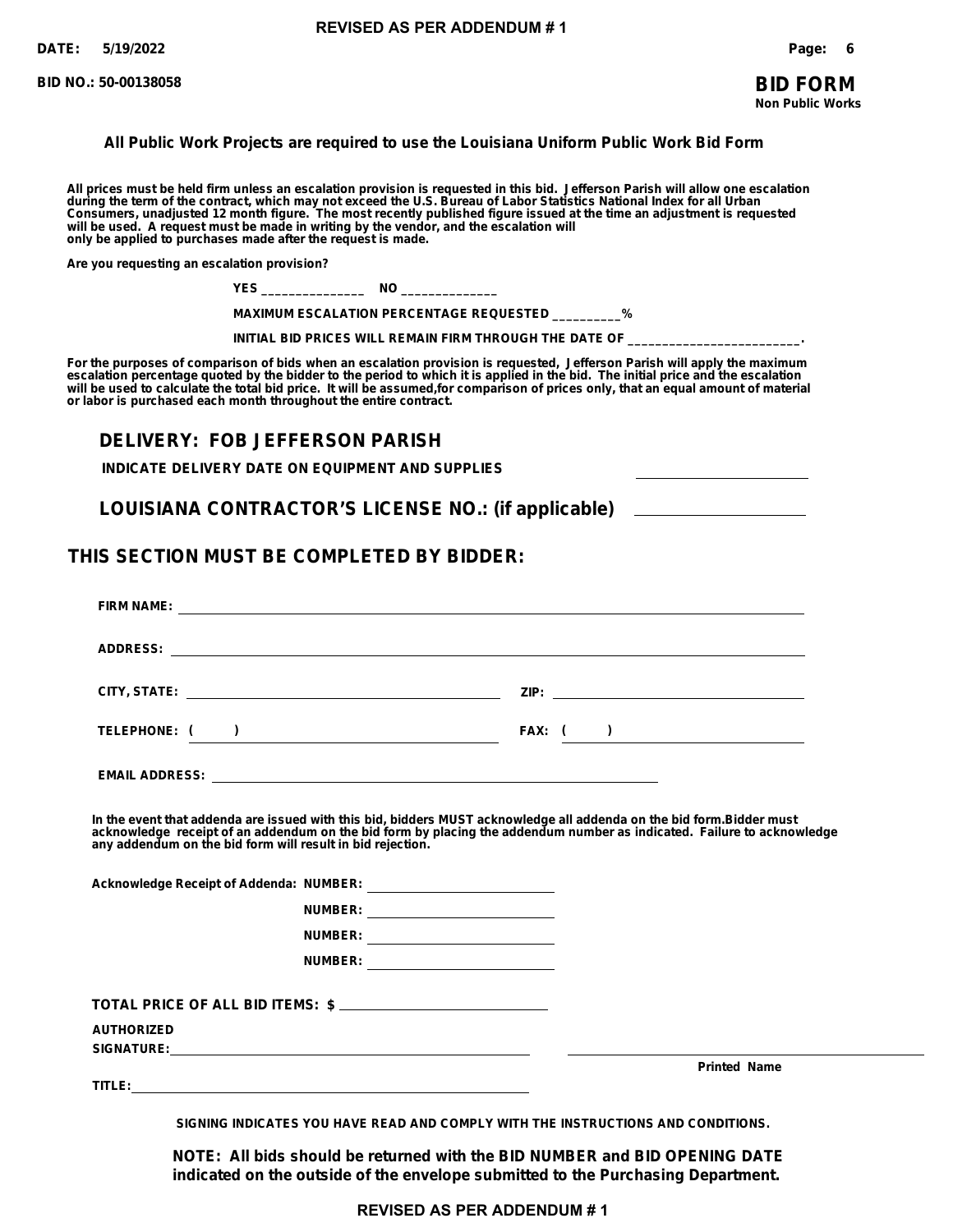**BID NO.: 50-00138058**

**Non Public Works**

### **All Public Work Projects are required to use the Louisiana Uniform Public Work Bid Form**

**All prices must be held firm unless an escalation provision is requested in this bid. Jefferson Parish will allow one escalation during the term of the contract, which may not exceed the U.S. Bureau of Labor Statistics National Index for all Urban Consumers, unadjusted 12 month figure. The most recently published figure issued at the time an adjustment is requested will be used. A request must be made in writing by the vendor, and the escalation will only be applied to purchases made after the request is made.**

**Are you requesting an escalation provision?**

**YES \_\_\_\_\_\_\_\_\_\_\_\_\_\_\_ NO \_\_\_\_\_\_\_\_\_\_\_\_\_\_**

**MAXIMUM ESCALATION PERCENTAGE REQUESTED \_\_\_\_\_\_\_\_\_\_%**

INITIAL BID PRICES WILL REMAIN FIRM THROUGH THE DATE OF \_

**For the purposes of comparison of bids when an escalation provision is requested, Jefferson Parish will apply the maximum escalation percentage quoted by the bidder to the period to which it is applied in the bid. The initial price and the escalation will be used to calculate the total bid price. It will be assumed,for comparison of prices only, that an equal amount of material or labor is purchased each month throughout the entire contract.**

# **DELIVERY: FOB JEFFERSON PARISH**

**INDICATE DELIVERY DATE ON EQUIPMENT AND SUPPLIES**

**LOUISIANA CONTRACTOR'S LICENSE NO.: (if applicable)**

# **THIS SECTION MUST BE COMPLETED BY BIDDER:**

|                   | TELEPHONE: ( )                                                                                                                                                                                                                                                                                                |  | FAX: $($ $)$        |
|-------------------|---------------------------------------------------------------------------------------------------------------------------------------------------------------------------------------------------------------------------------------------------------------------------------------------------------------|--|---------------------|
|                   |                                                                                                                                                                                                                                                                                                               |  |                     |
|                   | In the event that addenda are issued with this bid, bidders MUST acknowledge all addenda on the bid form. Bidder must<br>acknowledge receipt of an addendum on the bid form by placing the addendum number as indicated. Failure to acknowledge<br>any addendum on the bid form will result in bid rejection. |  |                     |
|                   |                                                                                                                                                                                                                                                                                                               |  |                     |
|                   | NUMBER: __________________________                                                                                                                                                                                                                                                                            |  |                     |
|                   | NUMBER: ___________________________                                                                                                                                                                                                                                                                           |  |                     |
|                   | NUMBER: __________________________                                                                                                                                                                                                                                                                            |  |                     |
|                   | TOTAL PRICE OF ALL BID ITEMS: \$                                                                                                                                                                                                                                                                              |  |                     |
| <b>AUTHORIZED</b> |                                                                                                                                                                                                                                                                                                               |  |                     |
|                   |                                                                                                                                                                                                                                                                                                               |  |                     |
|                   |                                                                                                                                                                                                                                                                                                               |  | <b>Printed Name</b> |
|                   | SIGNING INDICATES YOU HAVE READ AND COMPLY WITH THE INSTRUCTIONS AND CONDITIONS.                                                                                                                                                                                                                              |  |                     |

**NOTE: All bids should be returned with the BID NUMBER and BID OPENING DATE indicated on the outside of the envelope submitted to the Purchasing Department.**

**REVISED AS PER ADDENDUM # 1**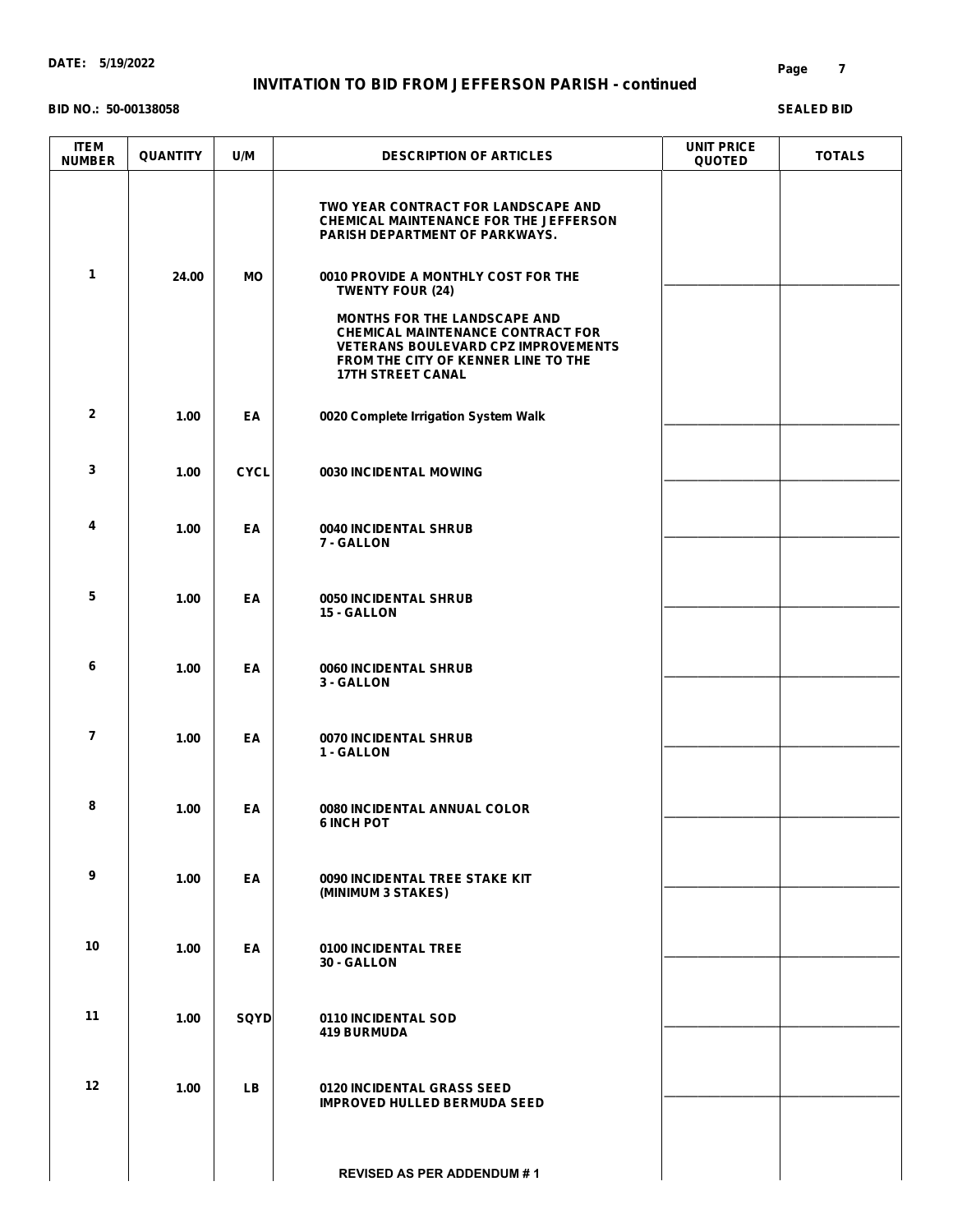#### **BID NO.: 50-00138058**

| <b>ITEM</b><br><b>NUMBER</b> | <b>QUANTITY</b> | U/M         | <b>DESCRIPTION OF ARTICLES</b>                                                                                                                                                                   | <b>UNIT PRICE</b><br><b>QUOTED</b> | <b>TOTALS</b> |
|------------------------------|-----------------|-------------|--------------------------------------------------------------------------------------------------------------------------------------------------------------------------------------------------|------------------------------------|---------------|
|                              |                 |             | TWO YEAR CONTRACT FOR LANDSCAPE AND<br><b>CHEMICAL MAINTENANCE FOR THE JEFFERSON</b><br>PARISH DEPARTMENT OF PARKWAYS.                                                                           |                                    |               |
| $\mathbf{1}$                 | 24.00           | МO          | 0010 PROVIDE A MONTHLY COST FOR THE<br><b>TWENTY FOUR (24)</b>                                                                                                                                   |                                    |               |
|                              |                 |             | <b>MONTHS FOR THE LANDSCAPE AND</b><br><b>CHEMICAL MAINTENANCE CONTRACT FOR</b><br><b>VETERANS BOULEVARD CPZ IMPROVEMENTS</b><br>FROM THE CITY OF KENNER LINE TO THE<br><b>17TH STREET CANAL</b> |                                    |               |
| $\mathbf{2}$                 | 1.00            | EA          | 0020 Complete Irrigation System Walk                                                                                                                                                             |                                    |               |
| 3                            | 1.00            | <b>CYCL</b> | 0030 INCIDENTAL MOWING                                                                                                                                                                           |                                    |               |
| 4                            | 1.00            | EA          | 0040 INCIDENTAL SHRUB<br>7 - GALLON                                                                                                                                                              |                                    |               |
| 5                            | 1.00            | EA          | 0050 INCIDENTAL SHRUB<br>15 - GALLON                                                                                                                                                             |                                    |               |
| 6                            | 1.00            | EA          | 0060 INCIDENTAL SHRUB<br>3 - GALLON                                                                                                                                                              |                                    |               |
| $\overline{7}$               | 1.00            | EA          | 0070 INCIDENTAL SHRUB<br>1 - GALLON                                                                                                                                                              |                                    |               |
| 8                            | 1.00            | EA          | 0080 INCIDENTAL ANNUAL COLOR<br><b>6 INCH POT</b>                                                                                                                                                |                                    |               |
| 9                            | 1.00            | EA          | 0090 INCIDENTAL TREE STAKE KIT<br>(MINIMUM 3 STAKES)                                                                                                                                             |                                    |               |
| 10                           | 1.00            | EA          | 0100 INCIDENTAL TREE<br>30 - GALLON                                                                                                                                                              |                                    |               |
| 11                           | 1.00            | <b>SQYD</b> | 0110 INCIDENTAL SOD<br><b>419 BURMUDA</b>                                                                                                                                                        |                                    |               |
| 12 <sup>2</sup>              | 1.00            | <b>LB</b>   | 0120 INCIDENTAL GRASS SEED<br><b>IMPROVED HULLED BERMUDA SEED</b>                                                                                                                                |                                    |               |
|                              |                 |             | <b>REVISED AS PER ADDENDUM #1</b>                                                                                                                                                                |                                    |               |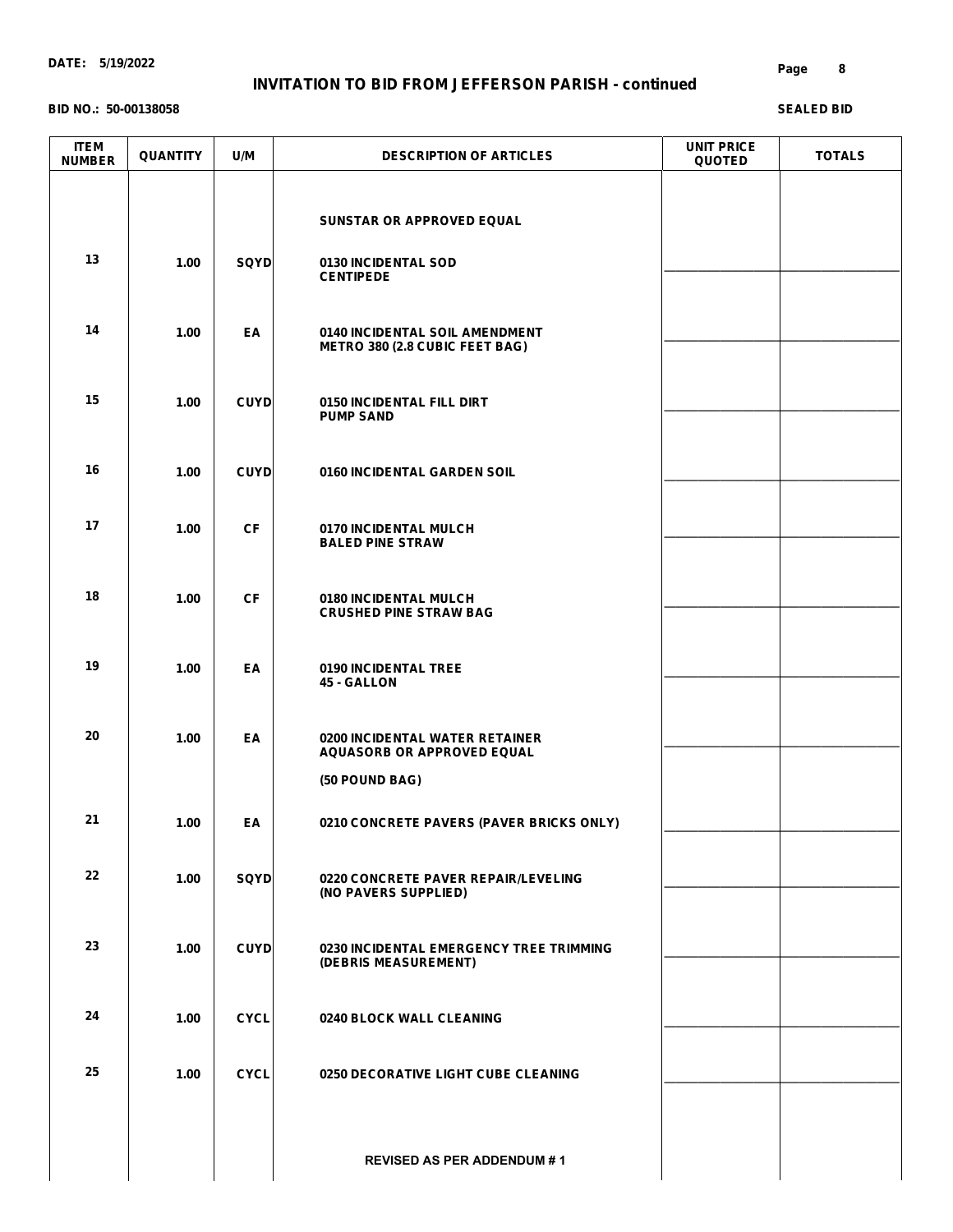# **INVITATION TO BID FROM JEFFERSON PARISH - continued**

#### **BID NO.: 50-00138058**

| <b>ITEM</b><br><b>NUMBER</b> | <b>QUANTITY</b> | U/M         | <b>DESCRIPTION OF ARTICLES</b>                                      | <b>UNIT PRICE</b><br><b>QUOTED</b> | <b>TOTALS</b> |
|------------------------------|-----------------|-------------|---------------------------------------------------------------------|------------------------------------|---------------|
|                              |                 |             | SUNSTAR OR APPROVED EQUAL                                           |                                    |               |
| 13                           | 1.00            | <b>SQYD</b> | 0130 INCIDENTAL SOD<br><b>CENTIPEDE</b>                             |                                    |               |
| 14                           | 1.00            | EA          | 0140 INCIDENTAL SOIL AMENDMENT<br>METRO 380 (2.8 CUBIC FEET BAG)    |                                    |               |
| 15                           | 1.00            | <b>CUYD</b> | 0150 INCIDENTAL FILL DIRT<br><b>PUMP SAND</b>                       |                                    |               |
| 16                           | 1.00            | <b>CUYD</b> | 0160 INCIDENTAL GARDEN SOIL                                         |                                    |               |
| 17                           | 1.00            | <b>CF</b>   | 0170 INCIDENTAL MULCH<br><b>BALED PINE STRAW</b>                    |                                    |               |
| 18                           | 1.00            | <b>CF</b>   | 0180 INCIDENTAL MULCH<br><b>CRUSHED PINE STRAW BAG</b>              |                                    |               |
| 19                           | 1.00            | EA          | 0190 INCIDENTAL TREE<br>45 - GALLON                                 |                                    |               |
| 20                           | 1.00            | EA          | 0200 INCIDENTAL WATER RETAINER<br><b>AQUASORB OR APPROVED EQUAL</b> |                                    |               |
|                              |                 |             | (50 POUND BAG)                                                      |                                    |               |
| 21                           | 1.00            | EA          | 0210 CONCRETE PAVERS (PAVER BRICKS ONLY)                            |                                    |               |
| 22                           | 1.00            | <b>SQYD</b> | 0220 CONCRETE PAVER REPAIR/LEVELING<br>(NO PAVERS SUPPLIED)         |                                    |               |
| 23                           | 1.00            | <b>CUYD</b> | 0230 INCIDENTAL EMERGENCY TREE TRIMMING<br>(DEBRIS MEASUREMENT)     |                                    |               |
| 24                           | 1.00            | <b>CYCL</b> | 0240 BLOCK WALL CLEANING                                            |                                    |               |
| 25                           | 1.00            | <b>CYCL</b> | 0250 DECORATIVE LIGHT CUBE CLEANING                                 |                                    |               |
|                              |                 |             | <b>REVISED AS PER ADDENDUM #1</b>                                   |                                    |               |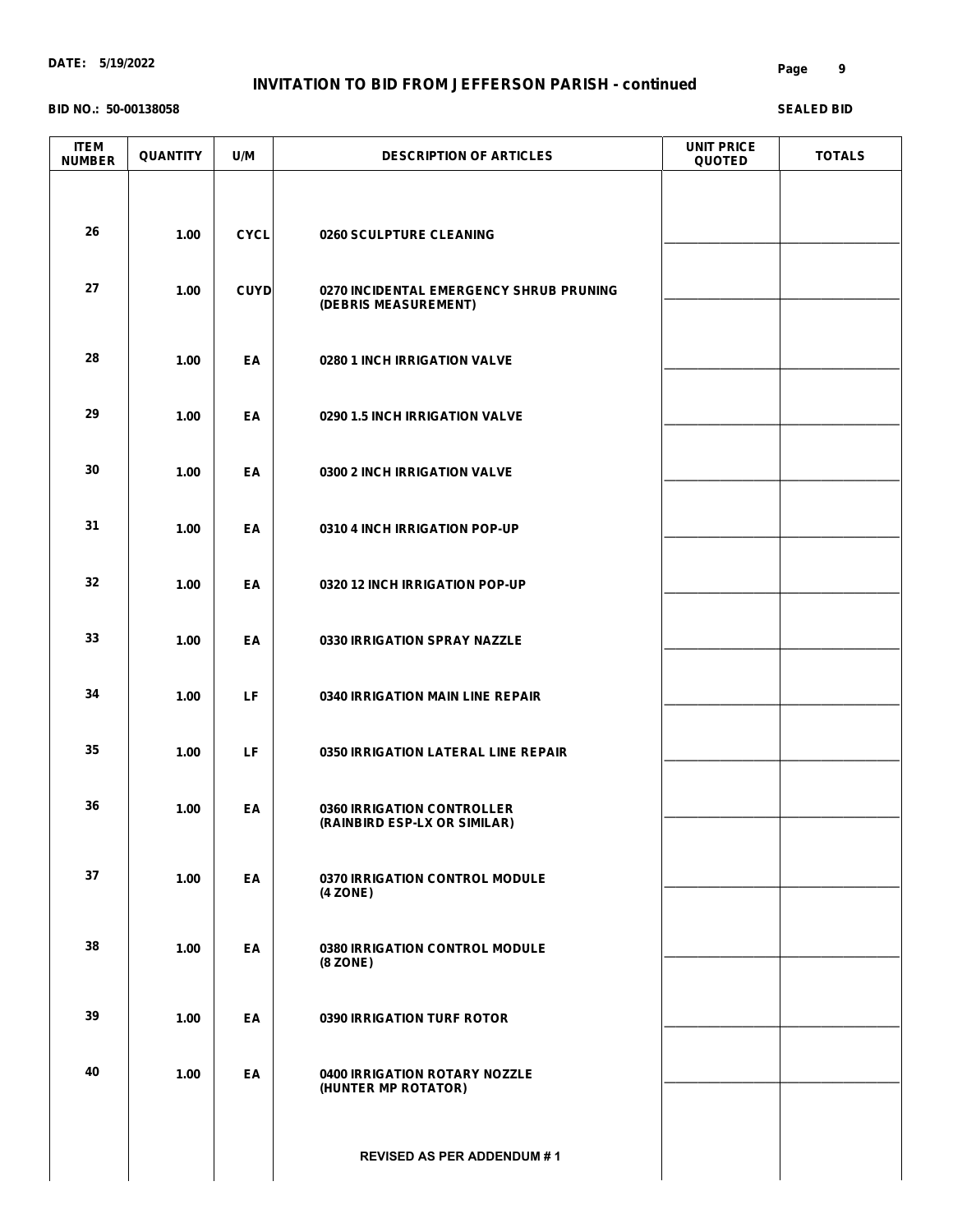# **INVITATION TO BID FROM JEFFERSON PARISH - continued**

#### **BID NO.: 50-00138058**

| <b>ITEM</b><br><b>NUMBER</b> | <b>QUANTITY</b> | U/M         | <b>DESCRIPTION OF ARTICLES</b>                                  | <b>UNIT PRICE</b><br><b>QUOTED</b> | <b>TOTALS</b> |
|------------------------------|-----------------|-------------|-----------------------------------------------------------------|------------------------------------|---------------|
| 26                           | 1.00            | <b>CYCL</b> | 0260 SCULPTURE CLEANING                                         |                                    |               |
| 27                           | 1.00            | <b>CUYD</b> | 0270 INCIDENTAL EMERGENCY SHRUB PRUNING<br>(DEBRIS MEASUREMENT) |                                    |               |
| 28                           | 1.00            | EA          | 0280 1 INCH IRRIGATION VALVE                                    |                                    |               |
| 29                           | 1.00            | EA          | 0290 1.5 INCH IRRIGATION VALVE                                  |                                    |               |
| 30                           | 1.00            | EA          | 0300 2 INCH IRRIGATION VALVE                                    |                                    |               |
| 31                           | 1.00            | EA          | 0310 4 INCH IRRIGATION POP-UP                                   |                                    |               |
| 32                           | 1.00            | EA          | 0320 12 INCH IRRIGATION POP-UP                                  |                                    |               |
| 33                           | 1.00            | EA          | 0330 IRRIGATION SPRAY NAZZLE                                    |                                    |               |
| 34                           | 1.00            | LF          | 0340 IRRIGATION MAIN LINE REPAIR                                |                                    |               |
| 35                           | 1.00            | LF          | 0350 IRRIGATION LATERAL LINE REPAIR                             |                                    |               |
| 36                           | 1.00            | EA          | 0360 IRRIGATION CONTROLLER<br>(RAINBIRD ESP-LX OR SIMILAR)      |                                    |               |
| 37                           | 1.00            | EA          | 0370 IRRIGATION CONTROL MODULE<br>(4 ZONE)                      |                                    |               |
| 38                           | 1.00            | EA          | <b>0380 IRRIGATION CONTROL MODULE</b><br>(8 ZONE)               |                                    |               |
| 39                           | 1.00            | EA          | <b>0390 IRRIGATION TURF ROTOR</b>                               |                                    |               |
| 40                           | 1.00            | EA          | <b>0400 IRRIGATION ROTARY NOZZLE</b><br>(HUNTER MP ROTATOR)     |                                    |               |
|                              |                 |             | <b>REVISED AS PER ADDENDUM #1</b>                               |                                    |               |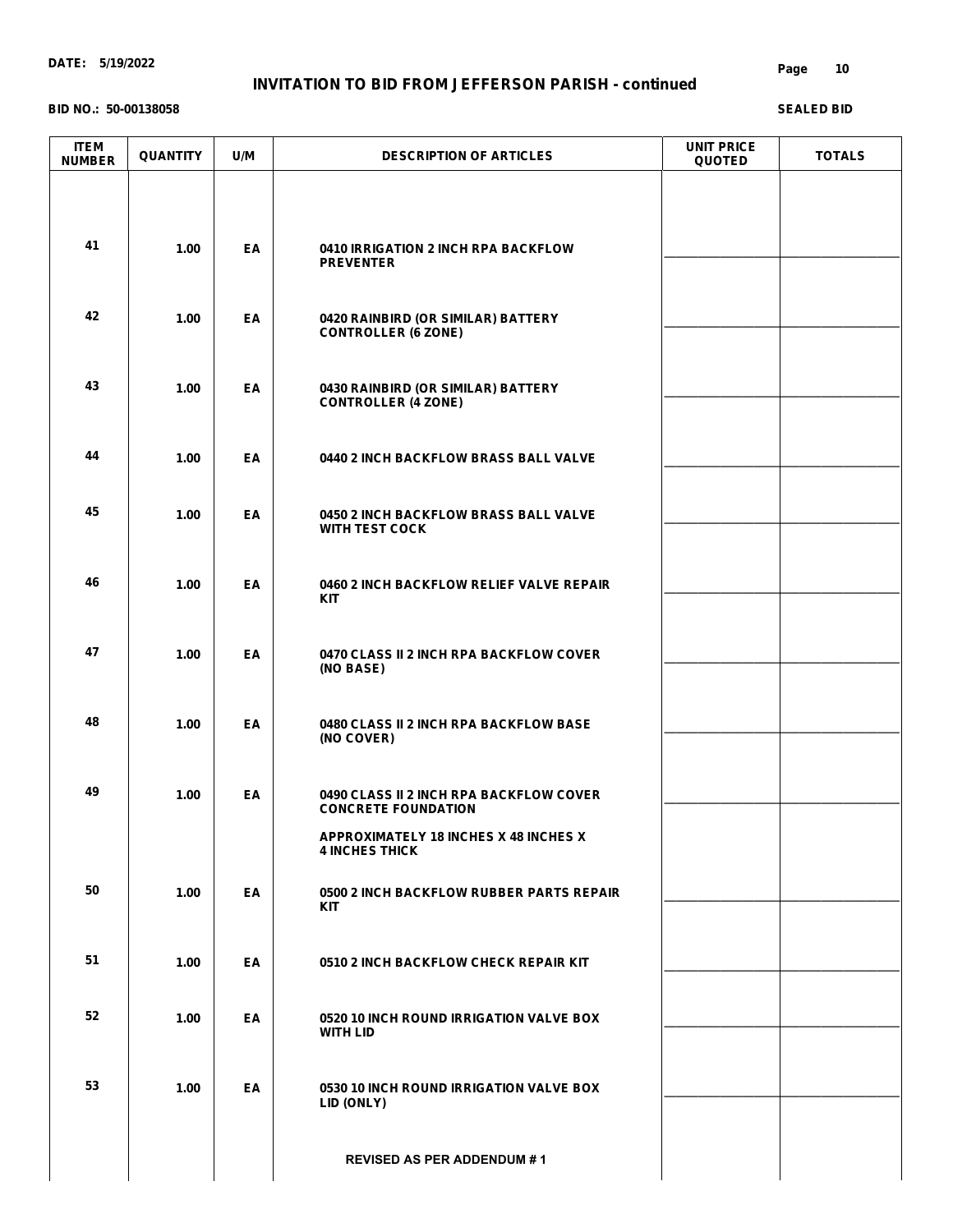# **INVITATION TO BID FROM JEFFERSON PARISH - continued**

#### **BID NO.: 50-00138058**

| <b>ITEM</b><br><b>NUMBER</b> | <b>QUANTITY</b> | U/M | <b>DESCRIPTION OF ARTICLES</b>                                        | <b>UNIT PRICE</b><br><b>QUOTED</b> | <b>TOTALS</b> |
|------------------------------|-----------------|-----|-----------------------------------------------------------------------|------------------------------------|---------------|
| 41                           | 1.00            | EA  | 0410 IRRIGATION 2 INCH RPA BACKFLOW<br><b>PREVENTER</b>               |                                    |               |
| 42                           | 1.00            | EA  | 0420 RAINBIRD (OR SIMILAR) BATTERY<br><b>CONTROLLER (6 ZONE)</b>      |                                    |               |
| 43                           | 1.00            | EA  | 0430 RAINBIRD (OR SIMILAR) BATTERY<br><b>CONTROLLER (4 ZONE)</b>      |                                    |               |
| 44                           | 1.00            | EA  | 0440 2 INCH BACKFLOW BRASS BALL VALVE                                 |                                    |               |
| 45                           | 1.00            | EA  | 0450 2 INCH BACKFLOW BRASS BALL VALVE<br><b>WITH TEST COCK</b>        |                                    |               |
| 46                           | 1.00            | EA  | 0460 2 INCH BACKFLOW RELIEF VALVE REPAIR<br><b>KIT</b>                |                                    |               |
| 47                           | 1.00            | EA  | 0470 CLASS II 2 INCH RPA BACKFLOW COVER<br>(NO BASE)                  |                                    |               |
| 48                           | 1.00            | EA  | 0480 CLASS II 2 INCH RPA BACKFLOW BASE<br>(NO COVER)                  |                                    |               |
| 49                           | 1.00            | EA  | 0490 CLASS II 2 INCH RPA BACKFLOW COVER<br><b>CONCRETE FOUNDATION</b> |                                    |               |
|                              |                 |     | APPROXIMATELY 18 INCHES X 48 INCHES X<br><b>4 INCHES THICK</b>        |                                    |               |
| 50                           | 1.00            | EA  | 0500 2 INCH BACKFLOW RUBBER PARTS REPAIR<br><b>KIT</b>                |                                    |               |
| 51                           | 1.00            | EA  | 0510 2 INCH BACKFLOW CHECK REPAIR KIT                                 |                                    |               |
| 52                           | 1.00            | EA  | 0520 10 INCH ROUND IRRIGATION VALVE BOX<br><b>WITH LID</b>            |                                    |               |
| 53                           | 1.00            | EA  | 0530 10 INCH ROUND IRRIGATION VALVE BOX<br>LID (ONLY)                 |                                    |               |
|                              |                 |     | <b>REVISED AS PER ADDENDUM #1</b>                                     |                                    |               |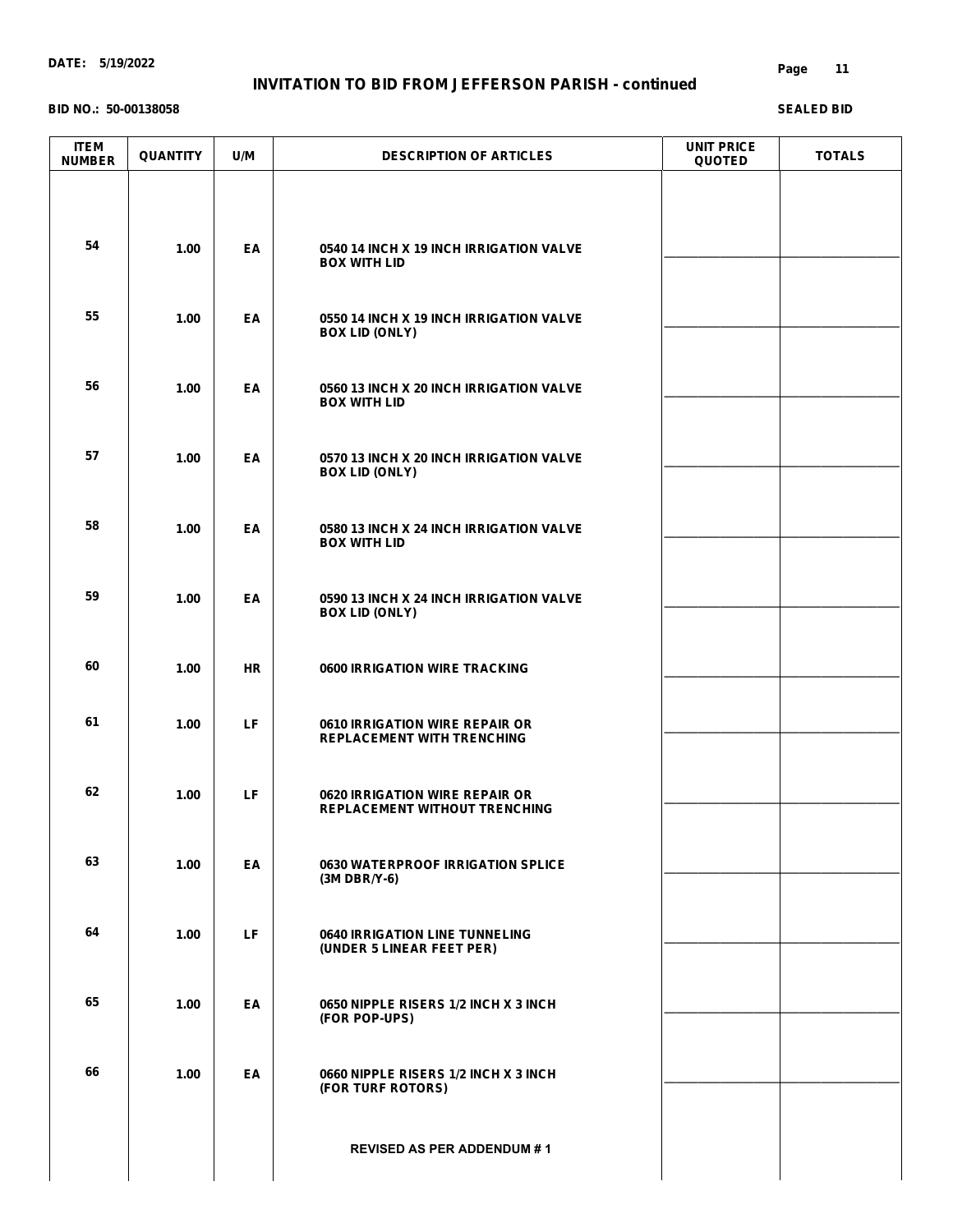# **INVITATION TO BID FROM JEFFERSON PARISH - continued**

#### **BID NO.: 50-00138058**

| <b>ITEM</b><br><b>NUMBER</b> | <b>QUANTITY</b> | U/M       | <b>DESCRIPTION OF ARTICLES</b>                                                | <b>UNIT PRICE</b><br><b>QUOTED</b> | <b>TOTALS</b> |
|------------------------------|-----------------|-----------|-------------------------------------------------------------------------------|------------------------------------|---------------|
| 54                           | 1.00            | EA        | 0540 14 INCH X 19 INCH IRRIGATION VALVE<br><b>BOX WITH LID</b>                |                                    |               |
| 55                           | 1.00            | EA        | 0550 14 INCH X 19 INCH IRRIGATION VALVE<br><b>BOX LID (ONLY)</b>              |                                    |               |
| 56                           | 1.00            | EA        | 0560 13 INCH X 20 INCH IRRIGATION VALVE<br><b>BOX WITH LID</b>                |                                    |               |
| 57                           | 1.00            | EA        | 0570 13 INCH X 20 INCH IRRIGATION VALVE<br><b>BOX LID (ONLY)</b>              |                                    |               |
| 58                           | 1.00            | EA        | 0580 13 INCH X 24 INCH IRRIGATION VALVE<br><b>BOX WITH LID</b>                |                                    |               |
| 59                           | 1.00            | EA        | 0590 13 INCH X 24 INCH IRRIGATION VALVE<br><b>BOX LID (ONLY)</b>              |                                    |               |
| 60                           | 1.00            | <b>HR</b> | <b>0600 IRRIGATION WIRE TRACKING</b>                                          |                                    |               |
| 61                           | 1.00            | LF.       | 0610 IRRIGATION WIRE REPAIR OR<br><b>REPLACEMENT WITH TRENCHING</b>           |                                    |               |
| 62                           | 1.00            | LF        | <b>0620 IRRIGATION WIRE REPAIR OR</b><br><b>REPLACEMENT WITHOUT TRENCHING</b> |                                    |               |
| 63                           | 1.00            | EA        | <b>0630 WATERPROOF IRRIGATION SPLICE</b><br>$(3M DBR/Y-6)$                    |                                    |               |
| 64                           | 1.00            | LF.       | <b>0640 IRRIGATION LINE TUNNELING</b><br>(UNDER 5 LINEAR FEET PER)            |                                    |               |
| 65                           | 1.00            | EA        | 0650 NIPPLE RISERS 1/2 INCH X 3 INCH<br>(FOR POP-UPS)                         |                                    |               |
| 66                           | 1.00            | EA        | 0660 NIPPLE RISERS 1/2 INCH X 3 INCH<br>(FOR TURF ROTORS)                     |                                    |               |
|                              |                 |           | <b>REVISED AS PER ADDENDUM #1</b>                                             |                                    |               |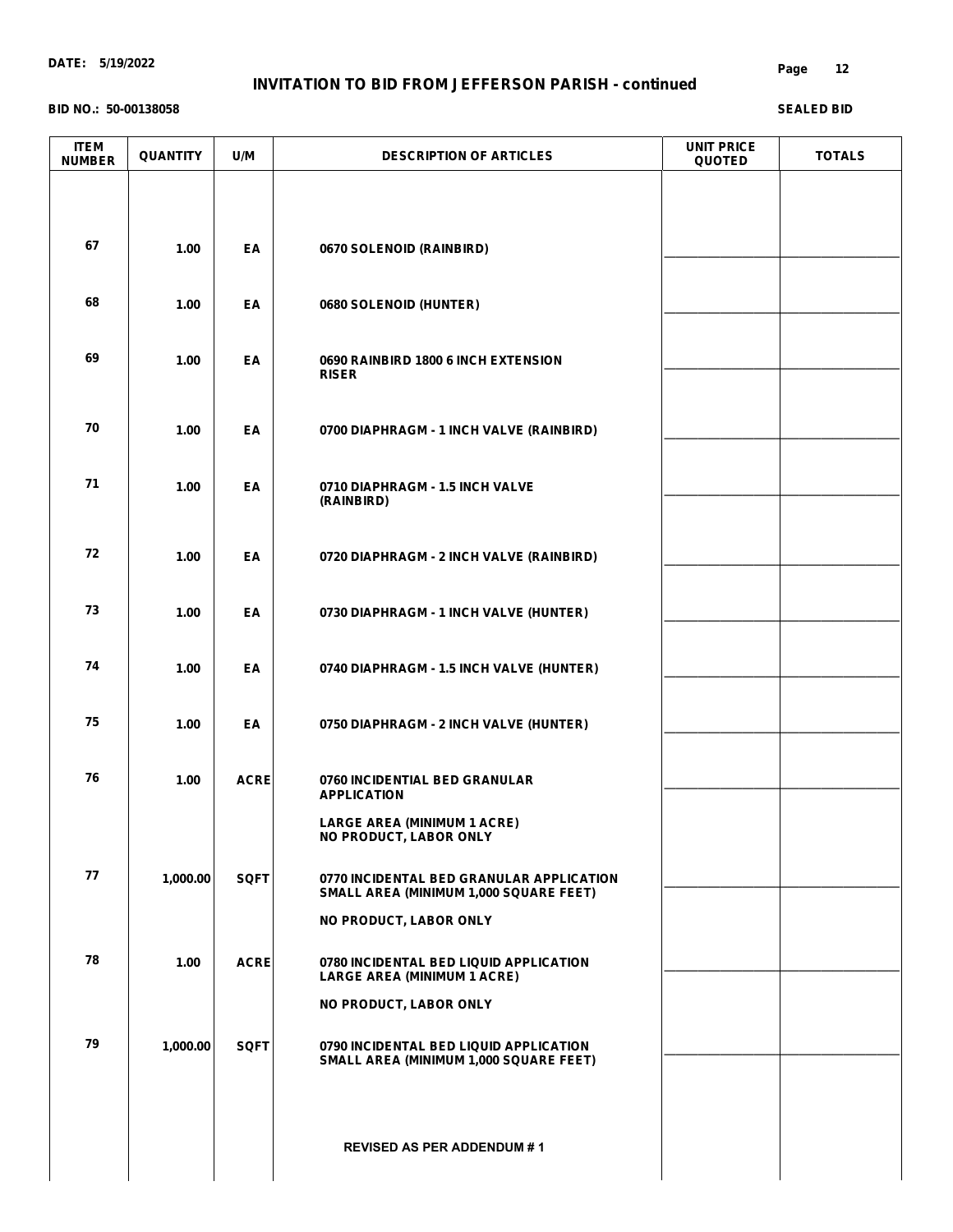# **INVITATION TO BID FROM JEFFERSON PARISH - continued**

#### **BID NO.: 50-00138058**

| <b>ITEM</b><br><b>NUMBER</b> | <b>QUANTITY</b> | U/M         | <b>DESCRIPTION OF ARTICLES</b>                                                     | <b>UNIT PRICE</b><br><b>QUOTED</b> | <b>TOTALS</b> |
|------------------------------|-----------------|-------------|------------------------------------------------------------------------------------|------------------------------------|---------------|
|                              |                 |             |                                                                                    |                                    |               |
| 67                           |                 |             |                                                                                    |                                    |               |
|                              | 1.00            | EA          | 0670 SOLENOID (RAINBIRD)                                                           |                                    |               |
| 68                           | 1.00            | EA          | 0680 SOLENOID (HUNTER)                                                             |                                    |               |
| 69                           | 1.00            | EA          | 0690 RAINBIRD 1800 6 INCH EXTENSION<br><b>RISER</b>                                |                                    |               |
| 70                           | 1.00            | EA          | 0700 DIAPHRAGM - 1 INCH VALVE (RAINBIRD)                                           |                                    |               |
| 71                           | 1.00            | EA          | 0710 DIAPHRAGM - 1.5 INCH VALVE<br>(RAINBIRD)                                      |                                    |               |
| 72                           | 1.00            | EA          | 0720 DIAPHRAGM - 2 INCH VALVE (RAINBIRD)                                           |                                    |               |
| 73                           | 1.00            | EA          | 0730 DIAPHRAGM - 1 INCH VALVE (HUNTER)                                             |                                    |               |
| 74                           | 1.00            | EA          | 0740 DIAPHRAGM - 1.5 INCH VALVE (HUNTER)                                           |                                    |               |
| 75                           | 1.00            | EA          | 0750 DIAPHRAGM - 2 INCH VALVE (HUNTER)                                             |                                    |               |
| 76                           | 1.00            | <b>ACRE</b> | 0760 INCIDENTIAL BED GRANULAR<br><b>APPLICATION</b>                                |                                    |               |
|                              |                 |             | <b>LARGE AREA (MINIMUM 1 ACRE)</b><br>NO PRODUCT, LABOR ONLY                       |                                    |               |
| 77                           | 1,000.00        | SQFT        | 0770 INCIDENTAL BED GRANULAR APPLICATION<br>SMALL AREA (MINIMUM 1,000 SQUARE FEET) |                                    |               |
|                              |                 |             | NO PRODUCT, LABOR ONLY                                                             |                                    |               |
| 78                           | 1.00            | <b>ACRE</b> | 0780 INCIDENTAL BED LIQUID APPLICATION<br><b>LARGE AREA (MINIMUM 1 ACRE)</b>       |                                    |               |
|                              |                 |             | NO PRODUCT, LABOR ONLY                                                             |                                    |               |
| 79                           | 1,000.00        | SQFT        | 0790 INCIDENTAL BED LIQUID APPLICATION<br>SMALL AREA (MINIMUM 1,000 SQUARE FEET)   |                                    |               |
|                              |                 |             |                                                                                    |                                    |               |
|                              |                 |             | <b>REVISED AS PER ADDENDUM #1</b>                                                  |                                    |               |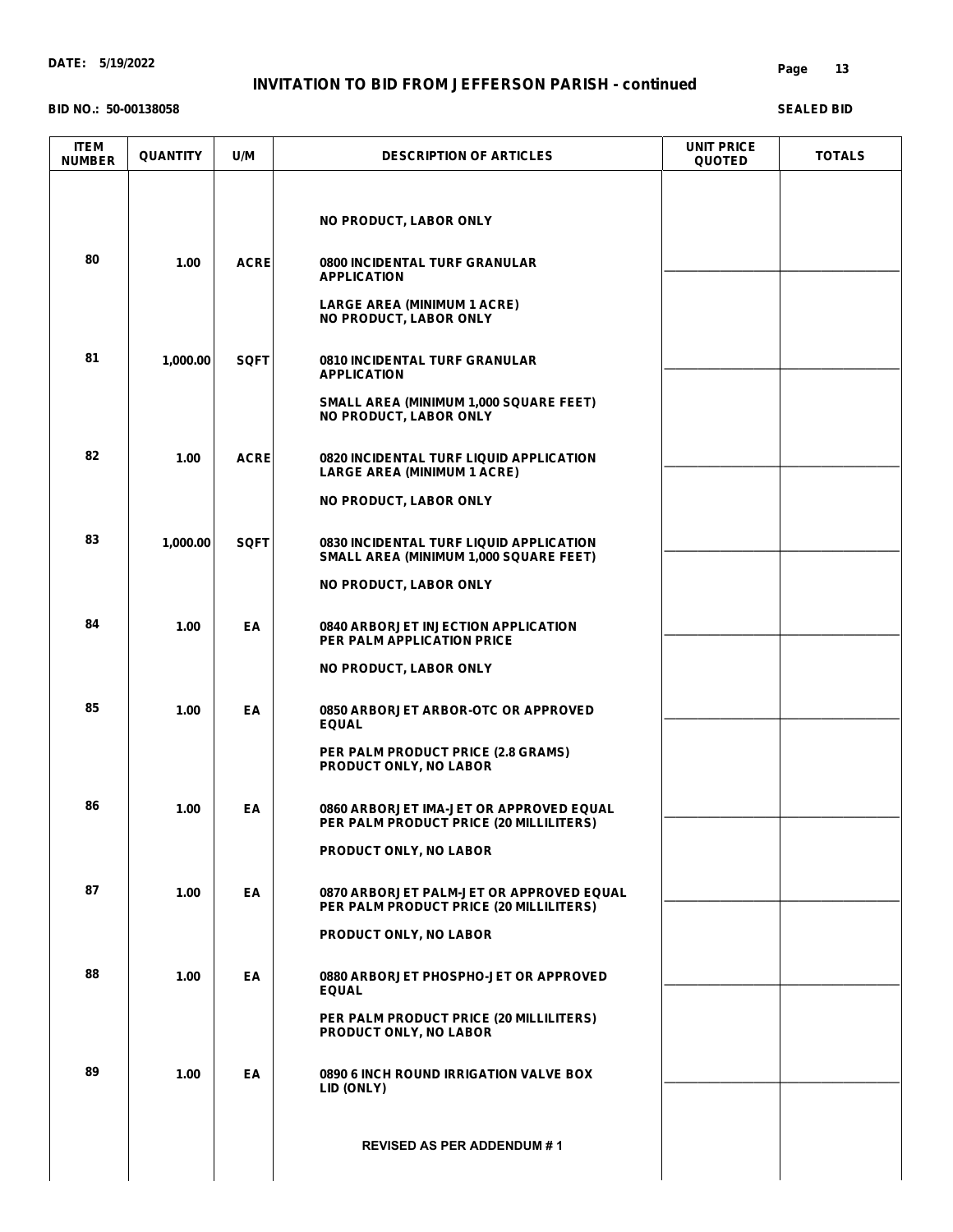**BID NO.: 50-00138058**

#### **Page 13**

| <b>ITEM</b><br><b>NUMBER</b> | <b>QUANTITY</b> | U/M         | <b>DESCRIPTION OF ARTICLES</b>                                                      | <b>UNIT PRICE</b><br><b>QUOTED</b> | <b>TOTALS</b> |
|------------------------------|-----------------|-------------|-------------------------------------------------------------------------------------|------------------------------------|---------------|
|                              |                 |             | NO PRODUCT, LABOR ONLY                                                              |                                    |               |
| 80                           | 1.00            | <b>ACRE</b> | <b>0800 INCIDENTAL TURF GRANULAR</b><br><b>APPLICATION</b>                          |                                    |               |
|                              |                 |             | <b>LARGE AREA (MINIMUM 1 ACRE)</b><br>NO PRODUCT, LABOR ONLY                        |                                    |               |
| 81                           | 1,000.00        | <b>SQFT</b> | <b>0810 INCIDENTAL TURF GRANULAR</b><br><b>APPLICATION</b>                          |                                    |               |
|                              |                 |             | SMALL AREA (MINIMUM 1,000 SQUARE FEET)<br>NO PRODUCT, LABOR ONLY                    |                                    |               |
| 82                           | 1.00            | <b>ACRE</b> | 0820 INCIDENTAL TURF LIQUID APPLICATION<br><b>LARGE AREA (MINIMUM 1 ACRE)</b>       |                                    |               |
|                              |                 |             | <b>NO PRODUCT, LABOR ONLY</b>                                                       |                                    |               |
| 83                           | 1,000.00        | <b>SQFT</b> | 0830 INCIDENTAL TURF LIQUID APPLICATION<br>SMALL AREA (MINIMUM 1,000 SQUARE FEET)   |                                    |               |
|                              |                 |             | <b>NO PRODUCT, LABOR ONLY</b>                                                       |                                    |               |
| 84                           | 1.00            | EA          | 0840 ARBORJET INJECTION APPLICATION<br><b>PER PALM APPLICATION PRICE</b>            |                                    |               |
|                              |                 |             | NO PRODUCT, LABOR ONLY                                                              |                                    |               |
| 85                           | 1.00            | EA          | 0850 ARBORJET ARBOR-OTC OR APPROVED<br><b>EQUAL</b>                                 |                                    |               |
|                              |                 |             | PER PALM PRODUCT PRICE (2.8 GRAMS)<br>PRODUCT ONLY, NO LABOR                        |                                    |               |
| 86                           | 1.00            | EA          | 0860 ARBORJET IMA-JET OR APPROVED EQUAL<br>PER PALM PRODUCT PRICE (20 MILLILITERS)  |                                    |               |
|                              |                 |             | PRODUCT ONLY, NO LABOR                                                              |                                    |               |
| 87                           | 1.00            | EA          | 0870 ARBORJET PALM-JET OR APPROVED EQUAL<br>PER PALM PRODUCT PRICE (20 MILLILITERS) |                                    |               |
|                              |                 |             | PRODUCT ONLY, NO LABOR                                                              |                                    |               |
| 88                           | 1.00            | EA          | 0880 ARBORJET PHOSPHO-JET OR APPROVED<br><b>EQUAL</b>                               |                                    |               |
|                              |                 |             | PER PALM PRODUCT PRICE (20 MILLILITERS)<br>PRODUCT ONLY, NO LABOR                   |                                    |               |
| 89                           | 1.00            | EA          | 0890 6 INCH ROUND IRRIGATION VALVE BOX<br>LID (ONLY)                                |                                    |               |
|                              |                 |             | <b>REVISED AS PER ADDENDUM #1</b>                                                   |                                    |               |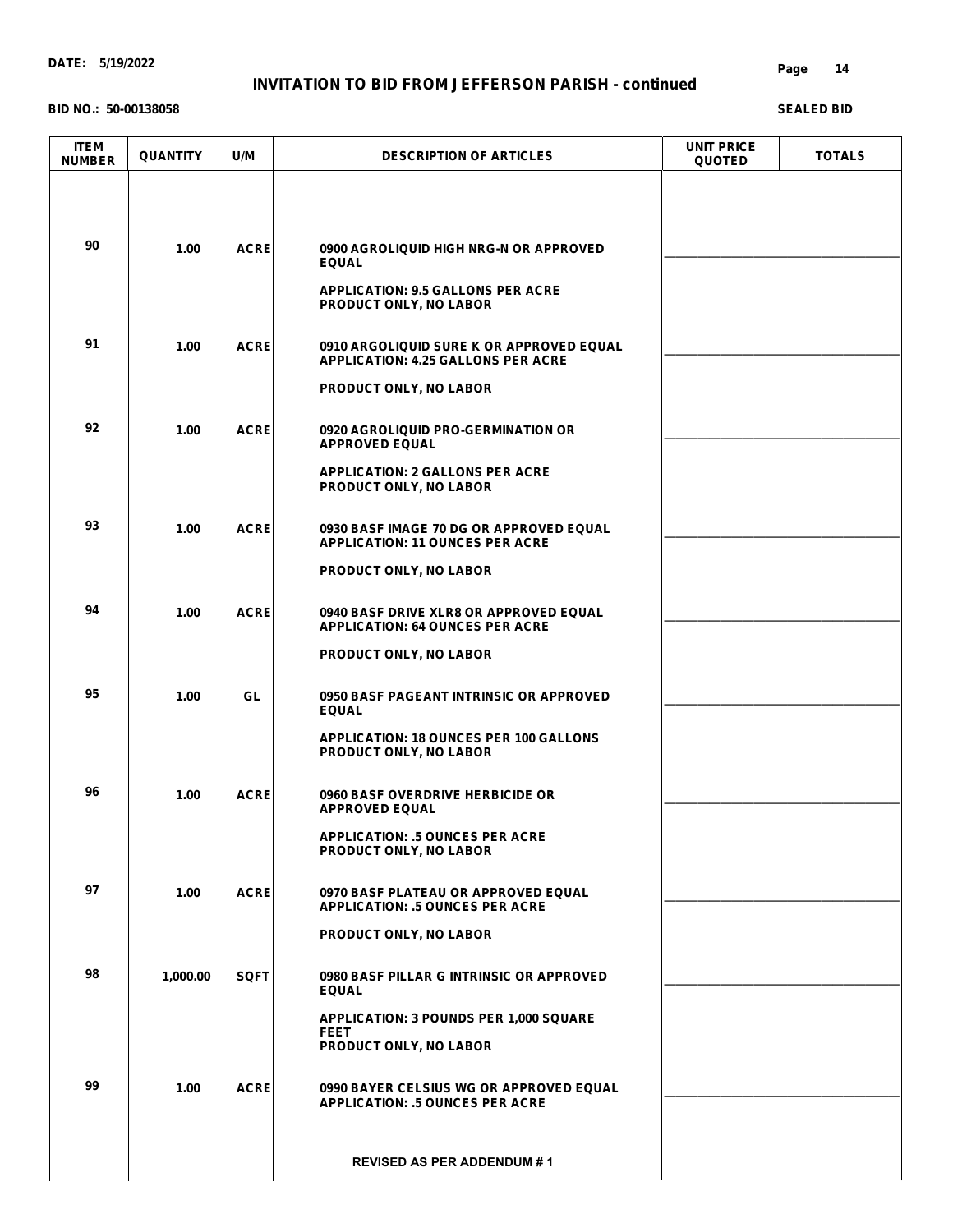# **INVITATION TO BID FROM JEFFERSON PARISH - continued**

#### **BID NO.: 50-00138058**

#### **Page 14**

| <b>ITEM</b><br><b>NUMBER</b> | <b>QUANTITY</b> | U/M         | <b>DESCRIPTION OF ARTICLES</b>                                                         | <b>UNIT PRICE</b><br><b>QUOTED</b> | <b>TOTALS</b> |
|------------------------------|-----------------|-------------|----------------------------------------------------------------------------------------|------------------------------------|---------------|
|                              |                 |             |                                                                                        |                                    |               |
| 90                           | 1.00            | <b>ACRE</b> | 0900 AGROLIQUID HIGH NRG-N OR APPROVED<br><b>EQUAL</b>                                 |                                    |               |
|                              |                 |             | <b>APPLICATION: 9.5 GALLONS PER ACRE</b><br>PRODUCT ONLY, NO LABOR                     |                                    |               |
| 91                           | 1.00            | <b>ACRE</b> | 0910 ARGOLIQUID SURE K OR APPROVED EQUAL<br><b>APPLICATION: 4.25 GALLONS PER ACRE</b>  |                                    |               |
|                              |                 |             | PRODUCT ONLY, NO LABOR                                                                 |                                    |               |
| 92                           | 1.00            | <b>ACRE</b> | <b>0920 AGROLIQUID PRO-GERMINATION OR</b><br><b>APPROVED EQUAL</b>                     |                                    |               |
|                              |                 |             | <b>APPLICATION: 2 GALLONS PER ACRE</b><br>PRODUCT ONLY, NO LABOR                       |                                    |               |
| 93                           | 1.00            | <b>ACRE</b> | 0930 BASF IMAGE 70 DG OR APPROVED EQUAL<br><b>APPLICATION: 11 OUNCES PER ACRE</b>      |                                    |               |
|                              |                 |             | PRODUCT ONLY, NO LABOR                                                                 |                                    |               |
| 94                           | 1.00            | <b>ACRE</b> | 0940 BASF DRIVE XLR8 OR APPROVED EQUAL<br><b>APPLICATION: 64 OUNCES PER ACRE</b>       |                                    |               |
|                              |                 |             | <b>PRODUCT ONLY, NO LABOR</b>                                                          |                                    |               |
| 95                           | 1.00            | GL          | 0950 BASF PAGEANT INTRINSIC OR APPROVED<br><b>EQUAL</b>                                |                                    |               |
|                              |                 |             | <b>APPLICATION: 18 OUNCES PER 100 GALLONS</b><br>PRODUCT ONLY, NO LABOR                |                                    |               |
| 96                           | 1.00            | <b>ACRE</b> | 0960 BASF OVERDRIVE HERBICIDE OR<br><b>APPROVED EQUAL</b>                              |                                    |               |
|                              |                 |             | <b>APPLICATION: .5 OUNCES PER ACRE</b><br>PRODUCT ONLY, NO LABOR                       |                                    |               |
| 97                           | 1.00            | <b>ACRE</b> | 0970 BASF PLATEAU OR APPROVED EQUAL<br><b>APPLICATION: .5 OUNCES PER ACRE</b>          |                                    |               |
|                              |                 |             | PRODUCT ONLY, NO LABOR                                                                 |                                    |               |
| 98                           | 1,000.00        | <b>SQFT</b> | 0980 BASF PILLAR G INTRINSIC OR APPROVED<br><b>EQUAL</b>                               |                                    |               |
|                              |                 |             | <b>APPLICATION: 3 POUNDS PER 1,000 SQUARE</b><br><b>FEET</b><br>PRODUCT ONLY, NO LABOR |                                    |               |
| 99                           | 1.00            | <b>ACRE</b> | 0990 BAYER CELSIUS WG OR APPROVED EQUAL<br><b>APPLICATION: .5 OUNCES PER ACRE</b>      |                                    |               |
|                              |                 |             | <b>REVISED AS PER ADDENDUM #1</b>                                                      |                                    |               |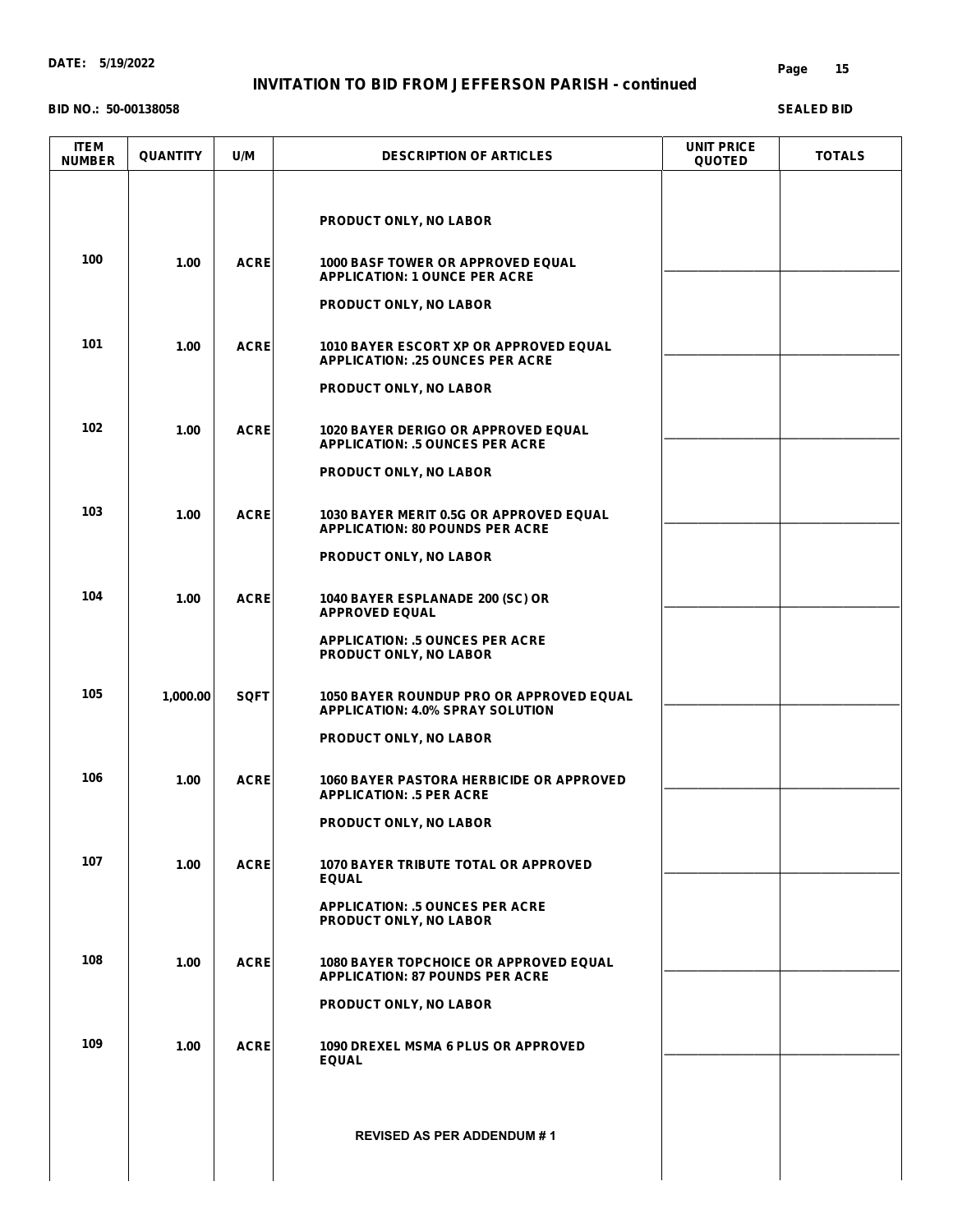**BID NO.: 50-00138058**

#### **Page 15**

| <b>ITEM</b><br><b>NUMBER</b> | <b>QUANTITY</b> | U/M         | <b>DESCRIPTION OF ARTICLES</b>                                                             | <b>UNIT PRICE</b><br><b>QUOTED</b> | <b>TOTALS</b> |
|------------------------------|-----------------|-------------|--------------------------------------------------------------------------------------------|------------------------------------|---------------|
|                              |                 |             |                                                                                            |                                    |               |
|                              |                 |             | PRODUCT ONLY, NO LABOR                                                                     |                                    |               |
| 100                          | 1.00            | <b>ACRE</b> | <b>1000 BASF TOWER OR APPROVED EQUAL</b><br><b>APPLICATION: 1 OUNCE PER ACRE</b>           |                                    |               |
|                              |                 |             | PRODUCT ONLY, NO LABOR                                                                     |                                    |               |
| 101                          | 1.00            | <b>ACRE</b> | <b>1010 BAYER ESCORT XP OR APPROVED EQUAL</b><br><b>APPLICATION: .25 OUNCES PER ACRE</b>   |                                    |               |
|                              |                 |             | PRODUCT ONLY, NO LABOR                                                                     |                                    |               |
| 102                          | 1.00            | <b>ACRE</b> | <b>1020 BAYER DERIGO OR APPROVED EQUAL</b><br><b>APPLICATION: .5 OUNCES PER ACRE</b>       |                                    |               |
|                              |                 |             | <b>PRODUCT ONLY, NO LABOR</b>                                                              |                                    |               |
| 103                          | 1.00            | <b>ACRE</b> | 1030 BAYER MERIT 0.5G OR APPROVED EQUAL<br><b>APPLICATION: 80 POUNDS PER ACRE</b>          |                                    |               |
|                              |                 |             | PRODUCT ONLY, NO LABOR                                                                     |                                    |               |
| 104                          | 1.00            | <b>ACRE</b> | 1040 BAYER ESPLANADE 200 (SC) OR<br><b>APPROVED EQUAL</b>                                  |                                    |               |
|                              |                 |             | <b>APPLICATION: .5 OUNCES PER ACRE</b><br>PRODUCT ONLY, NO LABOR                           |                                    |               |
| 105                          | 1,000.00        | <b>SQFT</b> | <b>1050 BAYER ROUNDUP PRO OR APPROVED EQUAL</b><br><b>APPLICATION: 4.0% SPRAY SOLUTION</b> |                                    |               |
|                              |                 |             | PRODUCT ONLY, NO LABOR                                                                     |                                    |               |
| 106                          | 1.00            | <b>ACRE</b> | <b>1060 BAYER PASTORA HERBICIDE OR APPROVED</b><br><b>APPLICATION: .5 PER ACRE</b>         |                                    |               |
|                              |                 |             | PRODUCT ONLY, NO LABOR                                                                     |                                    |               |
| 107                          | 1.00            | <b>ACRE</b> | <b>1070 BAYER TRIBUTE TOTAL OR APPROVED</b><br><b>EQUAL</b>                                |                                    |               |
|                              |                 |             | <b>APPLICATION: .5 OUNCES PER ACRE</b><br>PRODUCT ONLY, NO LABOR                           |                                    |               |
| 108                          | 1.00            | <b>ACRE</b> | <b>1080 BAYER TOPCHOICE OR APPROVED EQUAL</b><br><b>APPLICATION: 87 POUNDS PER ACRE</b>    |                                    |               |
|                              |                 |             | <b>PRODUCT ONLY, NO LABOR</b>                                                              |                                    |               |
| 109                          | 1.00            | <b>ACRE</b> | <b>1090 DREXEL MSMA 6 PLUS OR APPROVED</b><br><b>EQUAL</b>                                 |                                    |               |
|                              |                 |             |                                                                                            |                                    |               |
|                              |                 |             | <b>REVISED AS PER ADDENDUM #1</b>                                                          |                                    |               |
|                              |                 |             |                                                                                            |                                    |               |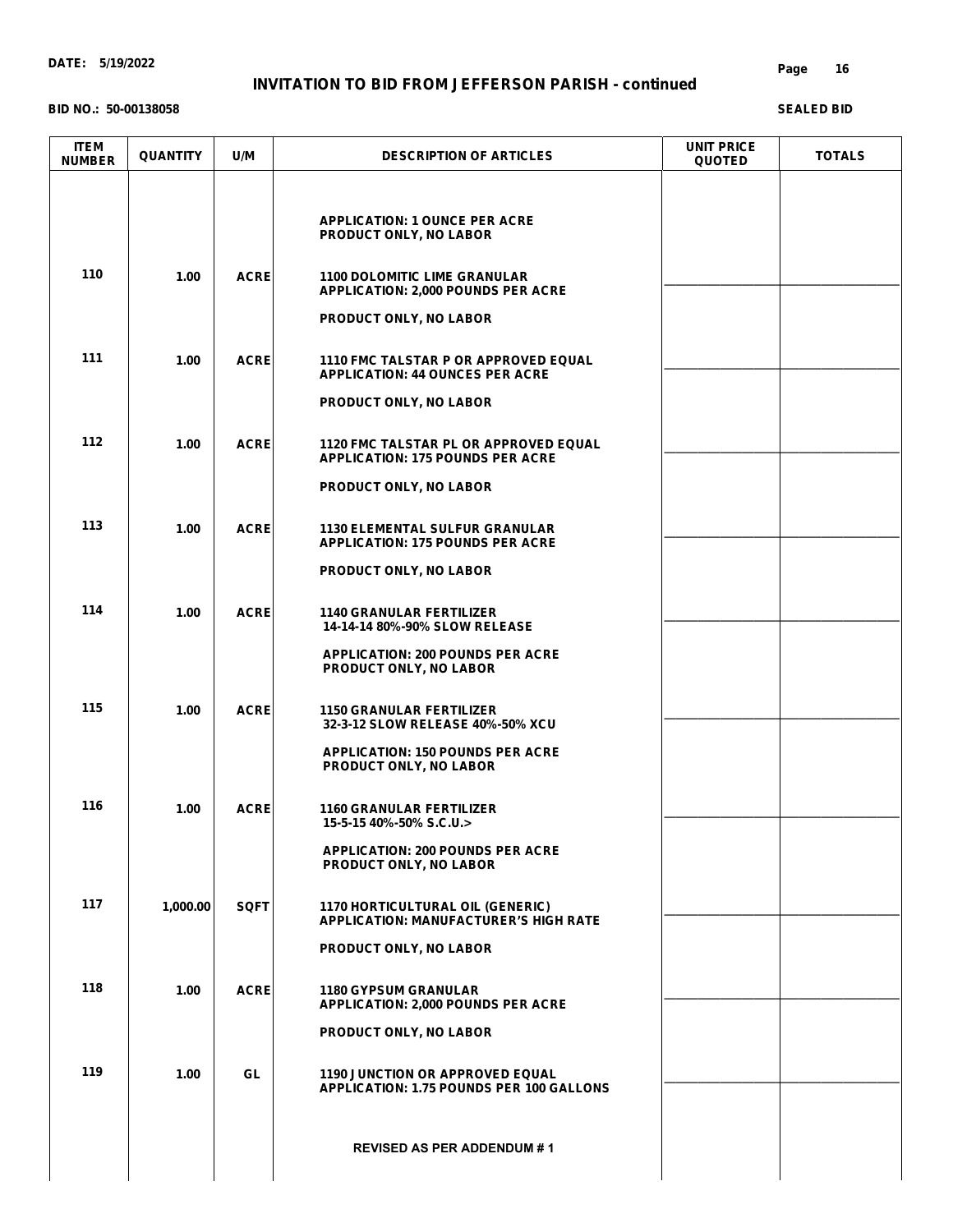#### **BID NO.: 50-00138058**

#### **Page 16**

| <b>ITEM</b><br><b>NUMBER</b> | <b>QUANTITY</b> | U/M         | <b>DESCRIPTION OF ARTICLES</b>                                                            | <b>UNIT PRICE</b><br><b>QUOTED</b> | <b>TOTALS</b> |
|------------------------------|-----------------|-------------|-------------------------------------------------------------------------------------------|------------------------------------|---------------|
|                              |                 |             | <b>APPLICATION: 1 OUNCE PER ACRE</b><br>PRODUCT ONLY, NO LABOR                            |                                    |               |
| 110                          | 1.00            | <b>ACRE</b> | <b>1100 DOLOMITIC LIME GRANULAR</b><br><b>APPLICATION: 2,000 POUNDS PER ACRE</b>          |                                    |               |
|                              |                 |             | <b>PRODUCT ONLY, NO LABOR</b>                                                             |                                    |               |
| 111                          | 1.00            | <b>ACRE</b> | <b>1110 FMC TALSTAR P OR APPROVED EQUAL</b><br><b>APPLICATION: 44 OUNCES PER ACRE</b>     |                                    |               |
|                              |                 |             | PRODUCT ONLY, NO LABOR                                                                    |                                    |               |
| 112                          | 1.00            | <b>ACRE</b> | <b>1120 FMC TALSTAR PL OR APPROVED EQUAL</b><br><b>APPLICATION: 175 POUNDS PER ACRE</b>   |                                    |               |
|                              |                 |             | PRODUCT ONLY, NO LABOR                                                                    |                                    |               |
| 113                          | 1.00            | <b>ACRE</b> | <b>1130 ELEMENTAL SULFUR GRANULAR</b><br><b>APPLICATION: 175 POUNDS PER ACRE</b>          |                                    |               |
|                              |                 |             | PRODUCT ONLY, NO LABOR                                                                    |                                    |               |
| 114                          | 1.00            | <b>ACRE</b> | <b>1140 GRANULAR FERTILIZER</b><br>14-14-14 80%-90% SLOW RELEASE                          |                                    |               |
|                              |                 |             | <b>APPLICATION: 200 POUNDS PER ACRE</b><br>PRODUCT ONLY, NO LABOR                         |                                    |               |
| 115                          | 1.00            | <b>ACRE</b> | <b>1150 GRANULAR FERTILIZER</b><br>32-3-12 SLOW RELEASE 40%-50% XCU                       |                                    |               |
|                              |                 |             | <b>APPLICATION: 150 POUNDS PER ACRE</b><br>PRODUCT ONLY, NO LABOR                         |                                    |               |
| 116                          | 1.00            | <b>ACRE</b> | <b>1160 GRANULAR FERTILIZER</b><br>15-5-15 40%-50% S.C.U.>                                |                                    |               |
|                              |                 |             | <b>APPLICATION: 200 POUNDS PER ACRE</b><br>PRODUCT ONLY, NO LABOR                         |                                    |               |
| 117                          | 1,000.00        | <b>SQFT</b> | <b>1170 HORTICULTURAL OIL (GENERIC)</b><br><b>APPLICATION: MANUFACTURER'S HIGH RATE</b>   |                                    |               |
|                              |                 |             | PRODUCT ONLY, NO LABOR                                                                    |                                    |               |
| 118                          | 1.00            | <b>ACRE</b> | <b>1180 GYPSUM GRANULAR</b><br><b>APPLICATION: 2,000 POUNDS PER ACRE</b>                  |                                    |               |
|                              |                 |             | PRODUCT ONLY, NO LABOR                                                                    |                                    |               |
| 119                          | 1.00            | GL          | <b>1190 JUNCTION OR APPROVED EQUAL</b><br><b>APPLICATION: 1.75 POUNDS PER 100 GALLONS</b> |                                    |               |
|                              |                 |             | <b>REVISED AS PER ADDENDUM #1</b>                                                         |                                    |               |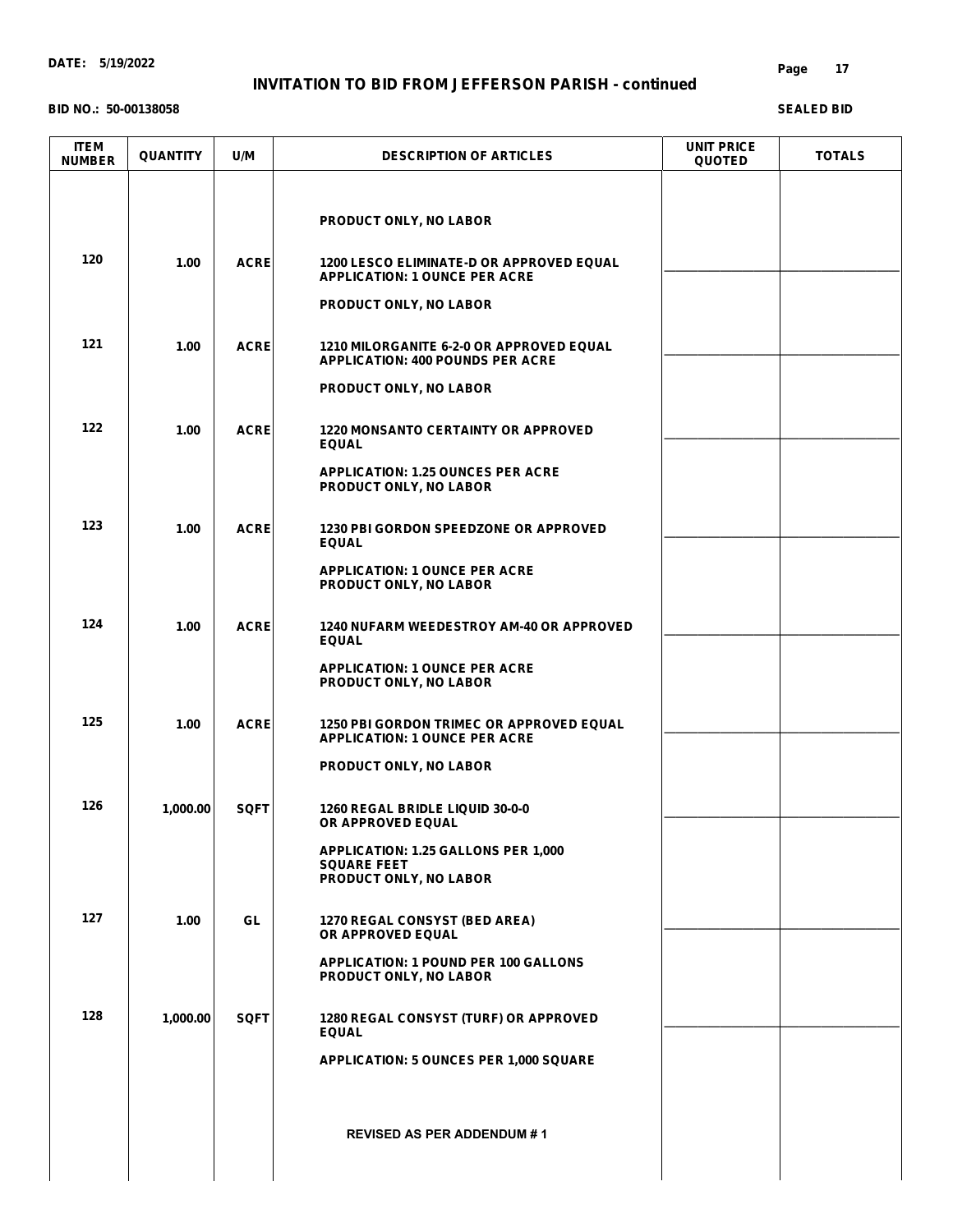**BID NO.: 50-00138058**

#### **Page 17**

| <b>ITEM</b><br><b>NUMBER</b> | <b>QUANTITY</b> | U/M         | <b>DESCRIPTION OF ARTICLES</b>                                                             | <b>UNIT PRICE</b><br><b>QUOTED</b> | <b>TOTALS</b> |
|------------------------------|-----------------|-------------|--------------------------------------------------------------------------------------------|------------------------------------|---------------|
|                              |                 |             | PRODUCT ONLY, NO LABOR                                                                     |                                    |               |
| 120                          | 1.00            | <b>ACRE</b> | <b>1200 LESCO ELIMINATE-D OR APPROVED EQUAL</b><br><b>APPLICATION: 1 OUNCE PER ACRE</b>    |                                    |               |
|                              |                 |             | PRODUCT ONLY, NO LABOR                                                                     |                                    |               |
| 121                          | 1.00            | <b>ACRE</b> | <b>1210 MILORGANITE 6-2-0 OR APPROVED EQUAL</b><br><b>APPLICATION: 400 POUNDS PER ACRE</b> |                                    |               |
|                              |                 |             | PRODUCT ONLY, NO LABOR                                                                     |                                    |               |
| 122                          | 1.00            | <b>ACRE</b> | <b>1220 MONSANTO CERTAINTY OR APPROVED</b><br><b>EQUAL</b>                                 |                                    |               |
|                              |                 |             | <b>APPLICATION: 1.25 OUNCES PER ACRE</b><br>PRODUCT ONLY, NO LABOR                         |                                    |               |
| 123                          | 1.00            | <b>ACRE</b> | <b>1230 PBI GORDON SPEEDZONE OR APPROVED</b><br><b>EQUAL</b>                               |                                    |               |
|                              |                 |             | <b>APPLICATION: 1 OUNCE PER ACRE</b><br>PRODUCT ONLY, NO LABOR                             |                                    |               |
| 124                          | 1.00            | <b>ACRE</b> | <b>1240 NUFARM WEEDESTROY AM-40 OR APPROVED</b><br><b>EQUAL</b>                            |                                    |               |
|                              |                 |             | <b>APPLICATION: 1 OUNCE PER ACRE</b><br>PRODUCT ONLY, NO LABOR                             |                                    |               |
| 125                          | 1.00            | <b>ACRE</b> | <b>1250 PBI GORDON TRIMEC OR APPROVED EQUAL</b><br><b>APPLICATION: 1 OUNCE PER ACRE</b>    |                                    |               |
|                              |                 |             | <b>PRODUCT ONLY, NO LABOR</b>                                                              |                                    |               |
| 126                          | 1,000.00        | <b>SQFT</b> | 1260 REGAL BRIDLE LIQUID 30-0-0<br>OR APPROVED EQUAL                                       |                                    |               |
|                              |                 |             | APPLICATION: 1.25 GALLONS PER 1,000<br><b>SQUARE FEET</b><br><b>PRODUCT ONLY, NO LABOR</b> |                                    |               |
| 127                          | 1.00            | GL.         | 1270 REGAL CONSYST (BED AREA)<br>OR APPROVED EQUAL                                         |                                    |               |
|                              |                 |             | <b>APPLICATION: 1 POUND PER 100 GALLONS</b><br>PRODUCT ONLY, NO LABOR                      |                                    |               |
| 128                          | 1,000.00        | <b>SQFT</b> | 1280 REGAL CONSYST (TURF) OR APPROVED<br><b>EQUAL</b>                                      |                                    |               |
|                              |                 |             | APPLICATION: 5 OUNCES PER 1,000 SQUARE                                                     |                                    |               |
|                              |                 |             | <b>REVISED AS PER ADDENDUM #1</b>                                                          |                                    |               |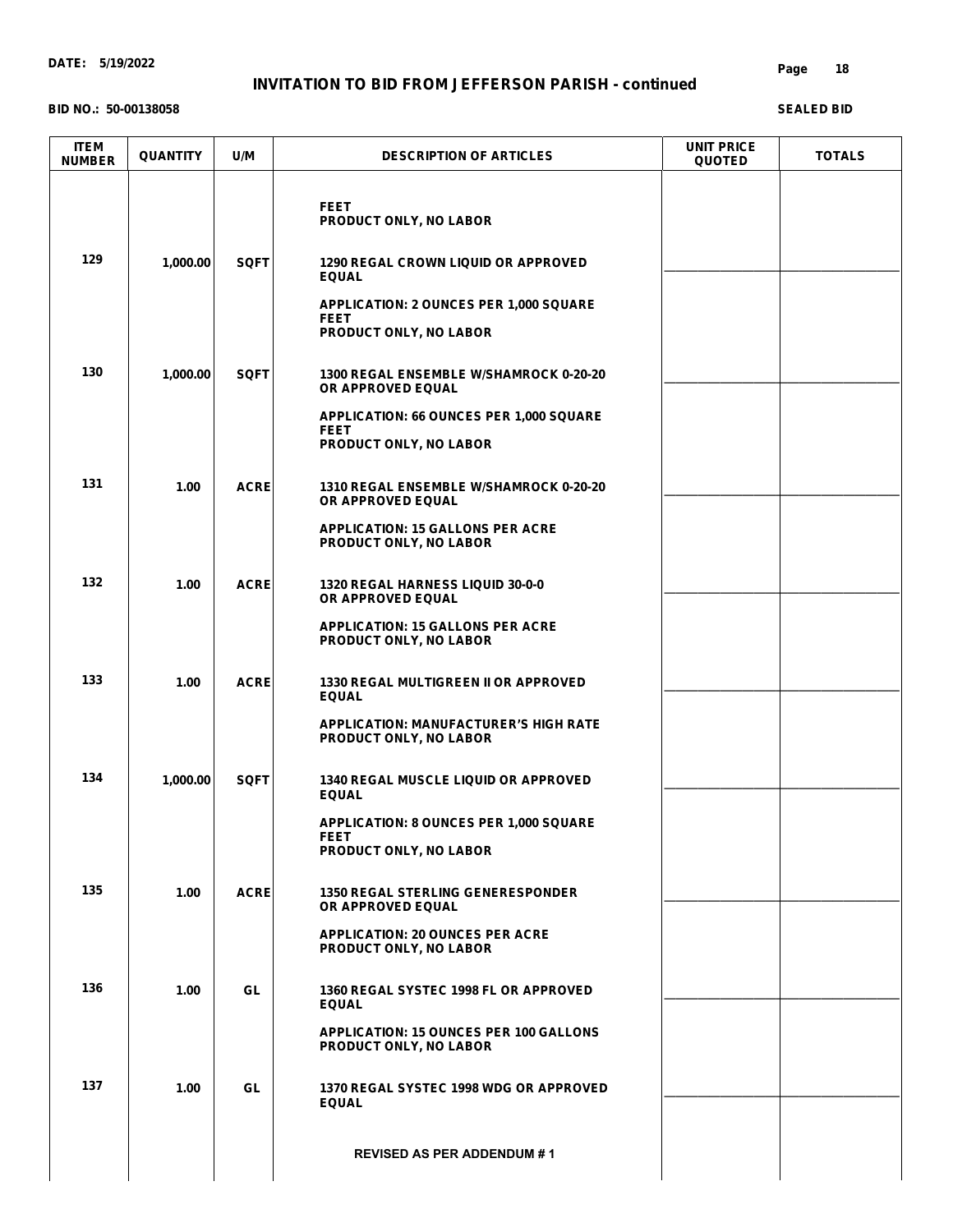# **INVITATION TO BID FROM JEFFERSON PARISH - continued**

#### **BID NO.: 50-00138058**

#### **Page 18**

| <b>ITEM</b><br><b>NUMBER</b> | <b>QUANTITY</b> | U/M         | <b>DESCRIPTION OF ARTICLES</b>                                                                | <b>UNIT PRICE</b><br><b>QUOTED</b> | <b>TOTALS</b> |
|------------------------------|-----------------|-------------|-----------------------------------------------------------------------------------------------|------------------------------------|---------------|
|                              |                 |             | <b>FEET</b><br>PRODUCT ONLY, NO LABOR                                                         |                                    |               |
| 129                          | 1,000.00        | <b>SQFT</b> | <b>1290 REGAL CROWN LIQUID OR APPROVED</b><br><b>EQUAL</b>                                    |                                    |               |
|                              |                 |             | <b>APPLICATION: 2 OUNCES PER 1,000 SQUARE</b><br><b>FEET</b><br>PRODUCT ONLY, NO LABOR        |                                    |               |
| 130                          | 1,000.00        | <b>SQFT</b> | 1300 REGAL ENSEMBLE W/SHAMROCK 0-20-20<br>OR APPROVED EQUAL                                   |                                    |               |
|                              |                 |             | APPLICATION: 66 OUNCES PER 1,000 SQUARE<br><b>FEET</b><br>PRODUCT ONLY, NO LABOR              |                                    |               |
| 131                          | 1.00            | <b>ACRE</b> | 1310 REGAL ENSEMBLE W/SHAMROCK 0-20-20<br>OR APPROVED EQUAL                                   |                                    |               |
|                              |                 |             | <b>APPLICATION: 15 GALLONS PER ACRE</b><br>PRODUCT ONLY, NO LABOR                             |                                    |               |
| 132                          | 1.00            | <b>ACRE</b> | <b>1320 REGAL HARNESS LIQUID 30-0-0</b><br>OR APPROVED EQUAL                                  |                                    |               |
|                              |                 |             | <b>APPLICATION: 15 GALLONS PER ACRE</b><br>PRODUCT ONLY, NO LABOR                             |                                    |               |
| 133                          | 1.00            | <b>ACRE</b> | <b>1330 REGAL MULTIGREEN II OR APPROVED</b><br><b>EQUAL</b>                                   |                                    |               |
|                              |                 |             | <b>APPLICATION: MANUFACTURER'S HIGH RATE</b><br>PRODUCT ONLY, NO LABOR                        |                                    |               |
| 134                          | 1,000.00        | <b>SQFT</b> | <b>1340 REGAL MUSCLE LIQUID OR APPROVED</b><br><b>EQUAL</b>                                   |                                    |               |
|                              |                 |             | <b>APPLICATION: 8 OUNCES PER 1,000 SQUARE</b><br><b>FEET</b><br><b>PRODUCT ONLY, NO LABOR</b> |                                    |               |
| 135                          | 1.00            | <b>ACRE</b> | <b>1350 REGAL STERLING GENERESPONDER</b><br>OR APPROVED EQUAL                                 |                                    |               |
|                              |                 |             | <b>APPLICATION: 20 OUNCES PER ACRE</b><br>PRODUCT ONLY, NO LABOR                              |                                    |               |
| 136                          | 1.00            | GL.         | 1360 REGAL SYSTEC 1998 FL OR APPROVED<br><b>EQUAL</b>                                         |                                    |               |
|                              |                 |             | <b>APPLICATION: 15 OUNCES PER 100 GALLONS</b><br>PRODUCT ONLY, NO LABOR                       |                                    |               |
| 137                          | 1.00            | GL.         | 1370 REGAL SYSTEC 1998 WDG OR APPROVED<br><b>EQUAL</b>                                        |                                    |               |
|                              |                 |             | <b>REVISED AS PER ADDENDUM #1</b>                                                             |                                    |               |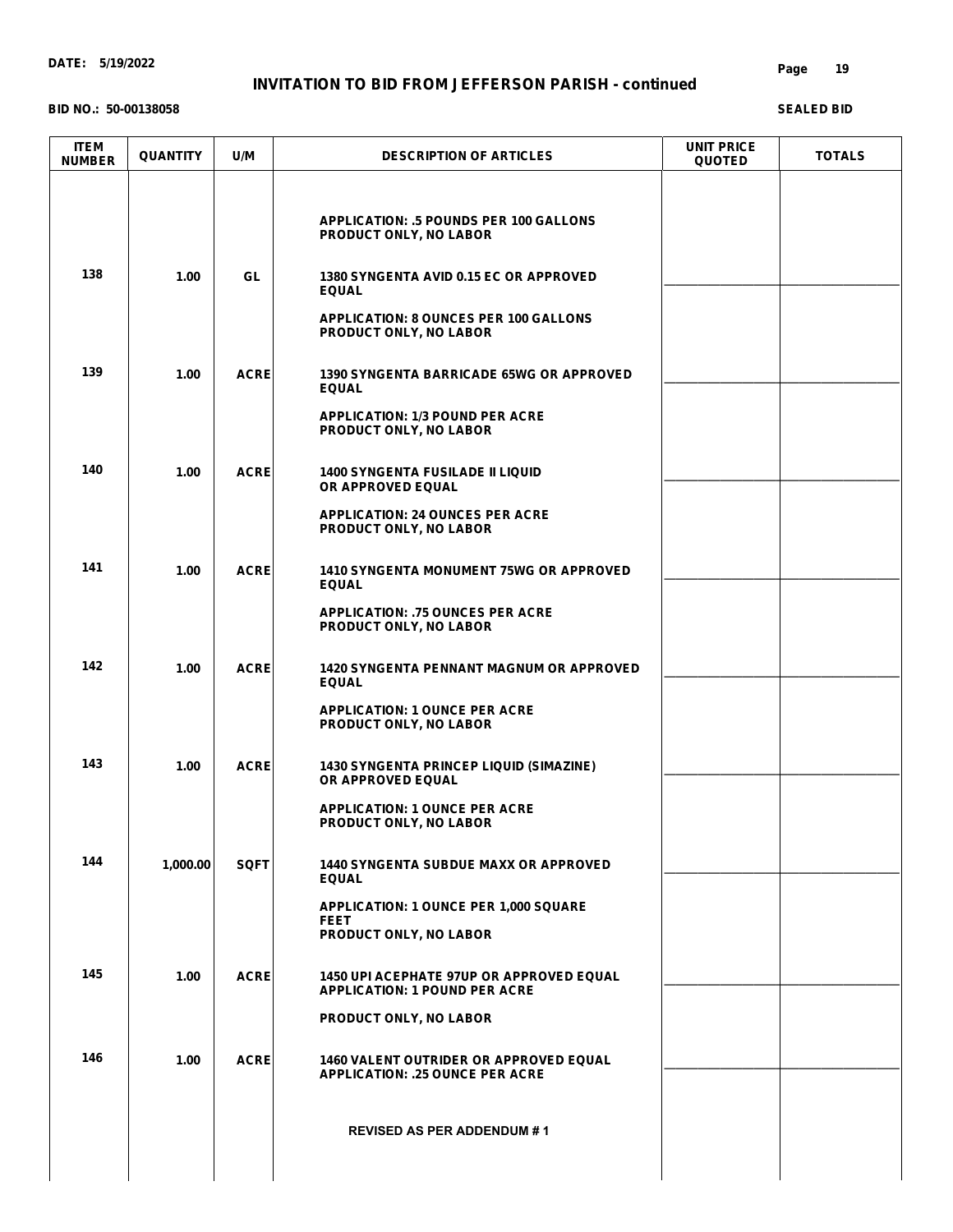#### **BID NO.: 50-00138058**

#### **Page 19**

| <b>APPLICATION: .5 POUNDS PER 100 GALLONS</b><br>PRODUCT ONLY, NO LABOR<br>138<br>1.00<br>GL<br><b>1380 SYNGENTA AVID 0.15 EC OR APPROVED</b><br><b>EQUAL</b><br><b>APPLICATION: 8 OUNCES PER 100 GALLONS</b><br>PRODUCT ONLY, NO LABOR<br>139<br>1.00<br><b>ACRE</b><br><b>1390 SYNGENTA BARRICADE 65WG OR APPROVED</b><br><b>EQUAL</b><br><b>APPLICATION: 1/3 POUND PER ACRE</b><br>PRODUCT ONLY, NO LABOR<br>140<br>ACRE<br>1.00<br><b>1400 SYNGENTA FUSILADE II LIQUID</b><br>OR APPROVED EQUAL<br><b>APPLICATION: 24 OUNCES PER ACRE</b><br>PRODUCT ONLY, NO LABOR<br>141<br><b>ACRE</b><br>1.00<br><b>1410 SYNGENTA MONUMENT 75WG OR APPROVED</b><br><b>EQUAL</b><br><b>APPLICATION: .75 OUNCES PER ACRE</b><br>PRODUCT ONLY, NO LABOR<br>142<br>1.00<br><b>ACRE</b><br><b>1420 SYNGENTA PENNANT MAGNUM OR APPROVED</b><br><b>EQUAL</b><br><b>APPLICATION: 1 OUNCE PER ACRE</b><br>PRODUCT ONLY, NO LABOR<br>143<br>ACRE<br>1.00<br><b>1430 SYNGENTA PRINCEP LIQUID (SIMAZINE)</b><br>OR APPROVED EQUAL<br><b>APPLICATION: 1 OUNCE PER ACRE</b><br>PRODUCT ONLY, NO LABOR<br>144<br>1,000.00<br><b>SQFT</b><br><b>1440 SYNGENTA SUBDUE MAXX OR APPROVED</b><br><b>EQUAL</b><br><b>APPLICATION: 1 OUNCE PER 1,000 SQUARE</b><br><b>FEET</b><br>PRODUCT ONLY, NO LABOR<br>145<br>ACRE<br>1.00<br><b>1450 UPI ACEPHATE 97UP OR APPROVED EQUAL</b><br><b>APPLICATION: 1 POUND PER ACRE</b><br>PRODUCT ONLY, NO LABOR<br>146<br>ACRE<br>1.00<br><b>1460 VALENT OUTRIDER OR APPROVED EQUAL</b><br><b>APPLICATION: .25 OUNCE PER ACRE</b><br><b>REVISED AS PER ADDENDUM #1</b> | <b>ITEM</b><br><b>NUMBER</b> | <b>QUANTITY</b> | U/M | <b>DESCRIPTION OF ARTICLES</b> | <b>UNIT PRICE</b><br><b>QUOTED</b> | <b>TOTALS</b> |
|-------------------------------------------------------------------------------------------------------------------------------------------------------------------------------------------------------------------------------------------------------------------------------------------------------------------------------------------------------------------------------------------------------------------------------------------------------------------------------------------------------------------------------------------------------------------------------------------------------------------------------------------------------------------------------------------------------------------------------------------------------------------------------------------------------------------------------------------------------------------------------------------------------------------------------------------------------------------------------------------------------------------------------------------------------------------------------------------------------------------------------------------------------------------------------------------------------------------------------------------------------------------------------------------------------------------------------------------------------------------------------------------------------------------------------------------------------------------------------------------------------------------------------------------------------------------------------|------------------------------|-----------------|-----|--------------------------------|------------------------------------|---------------|
|                                                                                                                                                                                                                                                                                                                                                                                                                                                                                                                                                                                                                                                                                                                                                                                                                                                                                                                                                                                                                                                                                                                                                                                                                                                                                                                                                                                                                                                                                                                                                                               |                              |                 |     |                                |                                    |               |
|                                                                                                                                                                                                                                                                                                                                                                                                                                                                                                                                                                                                                                                                                                                                                                                                                                                                                                                                                                                                                                                                                                                                                                                                                                                                                                                                                                                                                                                                                                                                                                               |                              |                 |     |                                |                                    |               |
|                                                                                                                                                                                                                                                                                                                                                                                                                                                                                                                                                                                                                                                                                                                                                                                                                                                                                                                                                                                                                                                                                                                                                                                                                                                                                                                                                                                                                                                                                                                                                                               |                              |                 |     |                                |                                    |               |
|                                                                                                                                                                                                                                                                                                                                                                                                                                                                                                                                                                                                                                                                                                                                                                                                                                                                                                                                                                                                                                                                                                                                                                                                                                                                                                                                                                                                                                                                                                                                                                               |                              |                 |     |                                |                                    |               |
|                                                                                                                                                                                                                                                                                                                                                                                                                                                                                                                                                                                                                                                                                                                                                                                                                                                                                                                                                                                                                                                                                                                                                                                                                                                                                                                                                                                                                                                                                                                                                                               |                              |                 |     |                                |                                    |               |
|                                                                                                                                                                                                                                                                                                                                                                                                                                                                                                                                                                                                                                                                                                                                                                                                                                                                                                                                                                                                                                                                                                                                                                                                                                                                                                                                                                                                                                                                                                                                                                               |                              |                 |     |                                |                                    |               |
|                                                                                                                                                                                                                                                                                                                                                                                                                                                                                                                                                                                                                                                                                                                                                                                                                                                                                                                                                                                                                                                                                                                                                                                                                                                                                                                                                                                                                                                                                                                                                                               |                              |                 |     |                                |                                    |               |
|                                                                                                                                                                                                                                                                                                                                                                                                                                                                                                                                                                                                                                                                                                                                                                                                                                                                                                                                                                                                                                                                                                                                                                                                                                                                                                                                                                                                                                                                                                                                                                               |                              |                 |     |                                |                                    |               |
|                                                                                                                                                                                                                                                                                                                                                                                                                                                                                                                                                                                                                                                                                                                                                                                                                                                                                                                                                                                                                                                                                                                                                                                                                                                                                                                                                                                                                                                                                                                                                                               |                              |                 |     |                                |                                    |               |
|                                                                                                                                                                                                                                                                                                                                                                                                                                                                                                                                                                                                                                                                                                                                                                                                                                                                                                                                                                                                                                                                                                                                                                                                                                                                                                                                                                                                                                                                                                                                                                               |                              |                 |     |                                |                                    |               |
|                                                                                                                                                                                                                                                                                                                                                                                                                                                                                                                                                                                                                                                                                                                                                                                                                                                                                                                                                                                                                                                                                                                                                                                                                                                                                                                                                                                                                                                                                                                                                                               |                              |                 |     |                                |                                    |               |
|                                                                                                                                                                                                                                                                                                                                                                                                                                                                                                                                                                                                                                                                                                                                                                                                                                                                                                                                                                                                                                                                                                                                                                                                                                                                                                                                                                                                                                                                                                                                                                               |                              |                 |     |                                |                                    |               |
|                                                                                                                                                                                                                                                                                                                                                                                                                                                                                                                                                                                                                                                                                                                                                                                                                                                                                                                                                                                                                                                                                                                                                                                                                                                                                                                                                                                                                                                                                                                                                                               |                              |                 |     |                                |                                    |               |
|                                                                                                                                                                                                                                                                                                                                                                                                                                                                                                                                                                                                                                                                                                                                                                                                                                                                                                                                                                                                                                                                                                                                                                                                                                                                                                                                                                                                                                                                                                                                                                               |                              |                 |     |                                |                                    |               |
|                                                                                                                                                                                                                                                                                                                                                                                                                                                                                                                                                                                                                                                                                                                                                                                                                                                                                                                                                                                                                                                                                                                                                                                                                                                                                                                                                                                                                                                                                                                                                                               |                              |                 |     |                                |                                    |               |
|                                                                                                                                                                                                                                                                                                                                                                                                                                                                                                                                                                                                                                                                                                                                                                                                                                                                                                                                                                                                                                                                                                                                                                                                                                                                                                                                                                                                                                                                                                                                                                               |                              |                 |     |                                |                                    |               |
|                                                                                                                                                                                                                                                                                                                                                                                                                                                                                                                                                                                                                                                                                                                                                                                                                                                                                                                                                                                                                                                                                                                                                                                                                                                                                                                                                                                                                                                                                                                                                                               |                              |                 |     |                                |                                    |               |
|                                                                                                                                                                                                                                                                                                                                                                                                                                                                                                                                                                                                                                                                                                                                                                                                                                                                                                                                                                                                                                                                                                                                                                                                                                                                                                                                                                                                                                                                                                                                                                               |                              |                 |     |                                |                                    |               |
|                                                                                                                                                                                                                                                                                                                                                                                                                                                                                                                                                                                                                                                                                                                                                                                                                                                                                                                                                                                                                                                                                                                                                                                                                                                                                                                                                                                                                                                                                                                                                                               |                              |                 |     |                                |                                    |               |